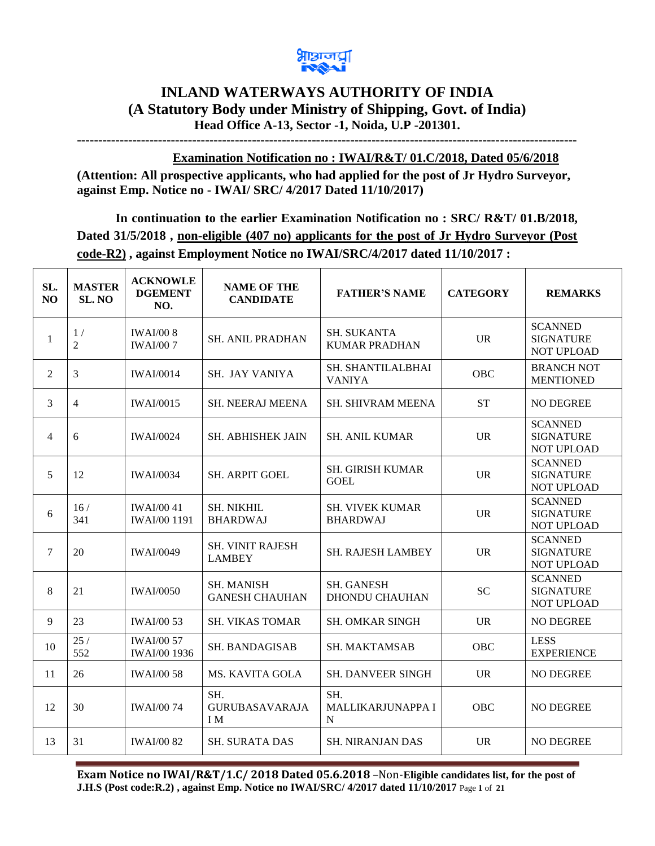

## **INLAND WATERWAYS AUTHORITY OF INDIA (A Statutory Body under Ministry of Shipping, Govt. of India) Head Office A-13, Sector -1, Noida, U.P -201301.**

**---------------------------------------------------------------------------------------------------------------------**

**Examination Notification no : IWAI/R&T/ 01.C/2018, Dated 05/6/2018**

**(Attention: All prospective applicants, who had applied for the post of Jr Hydro Surveyor, against Emp. Notice no - IWAI/ SRC/ 4/2017 Dated 11/10/2017)** 

**In continuation to the earlier Examination Notification no : SRC/ R&T/ 01.B/2018, Dated 31/5/2018 , non-eligible (407 no) applicants for the post of Jr Hydro Surveyor (Post code-R2) , against Employment Notice no IWAI/SRC/4/2017 dated 11/10/2017 :** 

| SL.<br>N <sub>O</sub> | <b>MASTER</b><br>SL. NO | <b>ACKNOWLE</b><br><b>DGEMENT</b><br>NO. | <b>NAME OF THE</b><br><b>CANDIDATE</b>     | <b>FATHER'S NAME</b>                       | <b>CATEGORY</b> | <b>REMARKS</b>                                          |
|-----------------------|-------------------------|------------------------------------------|--------------------------------------------|--------------------------------------------|-----------------|---------------------------------------------------------|
| $\mathbf{1}$          | 1/<br>$\overline{2}$    | <b>IWAI/008</b><br><b>IWAI/007</b>       | <b>SH. ANIL PRADHAN</b>                    | <b>SH. SUKANTA</b><br><b>KUMAR PRADHAN</b> | <b>UR</b>       | <b>SCANNED</b><br><b>SIGNATURE</b><br><b>NOT UPLOAD</b> |
| $\overline{2}$        | 3                       | <b>IWAI/0014</b>                         | SH. JAY VANIYA                             | SH. SHANTILALBHAI<br><b>VANIYA</b>         | OBC             | <b>BRANCH NOT</b><br><b>MENTIONED</b>                   |
| 3                     | 4                       | <b>IWAI/0015</b>                         | <b>SH. NEERAJ MEENA</b>                    | SH. SHIVRAM MEENA                          | <b>ST</b>       | <b>NO DEGREE</b>                                        |
| $\overline{4}$        | 6                       | <b>IWAI/0024</b>                         | SH. ABHISHEK JAIN                          | <b>SH. ANIL KUMAR</b>                      | <b>UR</b>       | <b>SCANNED</b><br><b>SIGNATURE</b><br>NOT UPLOAD        |
| 5                     | 12                      | <b>IWAI/0034</b>                         | <b>SH. ARPIT GOEL</b>                      | <b>SH. GIRISH KUMAR</b><br><b>GOEL</b>     | <b>UR</b>       | <b>SCANNED</b><br><b>SIGNATURE</b><br>NOT UPLOAD        |
| 6                     | 16/<br>341              | <b>IWAI/0041</b><br><b>IWAI/00 1191</b>  | <b>SH. NIKHIL</b><br><b>BHARDWAJ</b>       | <b>SH. VIVEK KUMAR</b><br><b>BHARDWAJ</b>  | <b>UR</b>       | <b>SCANNED</b><br><b>SIGNATURE</b><br>NOT UPLOAD        |
| 7                     | 20                      | <b>IWAI/0049</b>                         | <b>SH. VINIT RAJESH</b><br><b>LAMBEY</b>   | <b>SH. RAJESH LAMBEY</b>                   | <b>UR</b>       | <b>SCANNED</b><br><b>SIGNATURE</b><br>NOT UPLOAD        |
| 8                     | 21                      | <b>IWAI/0050</b>                         | <b>SH. MANISH</b><br><b>GANESH CHAUHAN</b> | <b>SH. GANESH</b><br><b>DHONDU CHAUHAN</b> | SC              | <b>SCANNED</b><br><b>SIGNATURE</b><br><b>NOT UPLOAD</b> |
| 9                     | 23                      | <b>IWAI/00 53</b>                        | <b>SH. VIKAS TOMAR</b>                     | <b>SH. OMKAR SINGH</b>                     | <b>UR</b>       | <b>NO DEGREE</b>                                        |
| 10                    | 25/<br>552              | <b>IWAI/00 57</b><br><b>IWAI/00 1936</b> | <b>SH. BANDAGISAB</b>                      | <b>SH. MAKTAMSAB</b>                       | OBC             | <b>LESS</b><br><b>EXPERIENCE</b>                        |
| 11                    | 26                      | <b>IWAI/00 58</b>                        | <b>MS. KAVITA GOLA</b>                     | <b>SH. DANVEER SINGH</b>                   | <b>UR</b>       | <b>NO DEGREE</b>                                        |
| 12                    | 30                      | <b>IWAI/0074</b>                         | SH.<br><b>GURUBASAVARAJA</b><br>I M        | SH.<br>MALLIKARJUNAPPA I<br>N              | OBC             | <b>NO DEGREE</b>                                        |
| 13                    | 31                      | <b>IWAI/00 82</b>                        | <b>SH. SURATA DAS</b>                      | <b>SH. NIRANJAN DAS</b>                    | <b>UR</b>       | <b>NO DEGREE</b>                                        |

**Exam Notice no IWAI/R&T/1.C/ 2018 Dated 05.6.2018** –Non-**Eligible candidates list, for the post of J.H.S (Post code:R.2) , against Emp. Notice no IWAI/SRC/ 4/2017 dated 11/10/2017** Page **1** of **21**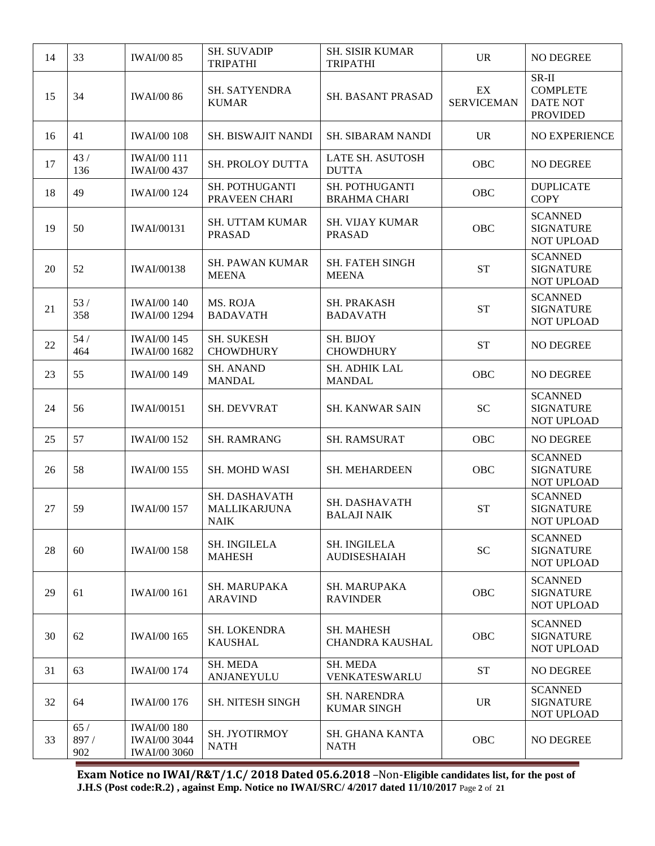| 14 | 33                 | <b>IWAI/00 85</b>                                                | <b>SH. SUVADIP</b><br><b>TRIPATHI</b>        | <b>SH. SISIR KUMAR</b><br><b>TRIPATHI</b>   | <b>UR</b>               | <b>NO DEGREE</b>                                                 |
|----|--------------------|------------------------------------------------------------------|----------------------------------------------|---------------------------------------------|-------------------------|------------------------------------------------------------------|
| 15 | 34                 | <b>IWAI/00 86</b>                                                | <b>SH. SATYENDRA</b><br><b>KUMAR</b>         | SH. BASANT PRASAD                           | EX<br><b>SERVICEMAN</b> | $SR-II$<br><b>COMPLETE</b><br><b>DATE NOT</b><br><b>PROVIDED</b> |
| 16 | 41                 | <b>IWAI/00 108</b>                                               | SH. BISWAJIT NANDI                           | SH. SIBARAM NANDI                           | <b>UR</b>               | NO EXPERIENCE                                                    |
| 17 | 43/<br>136         | <b>IWAI/00 111</b><br><b>IWAI/00 437</b>                         | SH. PROLOY DUTTA                             | LATE SH. ASUTOSH<br><b>DUTTA</b>            | OBC                     | NO DEGREE                                                        |
| 18 | 49                 | <b>IWAI/00 124</b>                                               | SH. POTHUGANTI<br>PRAVEEN CHARI              | SH. POTHUGANTI<br><b>BRAHMA CHARI</b>       | OBC                     | <b>DUPLICATE</b><br><b>COPY</b>                                  |
| 19 | 50                 | <b>IWAI/00131</b>                                                | <b>SH. UTTAM KUMAR</b><br><b>PRASAD</b>      | <b>SH. VIJAY KUMAR</b><br><b>PRASAD</b>     | OBC                     | <b>SCANNED</b><br><b>SIGNATURE</b><br>NOT UPLOAD                 |
| 20 | 52                 | <b>IWAI/00138</b>                                                | <b>SH. PAWAN KUMAR</b><br><b>MEENA</b>       | <b>SH. FATEH SINGH</b><br><b>MEENA</b>      | <b>ST</b>               | <b>SCANNED</b><br><b>SIGNATURE</b><br><b>NOT UPLOAD</b>          |
| 21 | 53/<br>358         | <b>IWAI/00 140</b><br><b>IWAI/00 1294</b>                        | MS. ROJA<br><b>BADAVATH</b>                  | <b>SH. PRAKASH</b><br><b>BADAVATH</b>       | <b>ST</b>               | <b>SCANNED</b><br><b>SIGNATURE</b><br>NOT UPLOAD                 |
| 22 | 54/<br>464         | <b>IWAI/00 145</b><br><b>IWAI/00 1682</b>                        | <b>SH. SUKESH</b><br><b>CHOWDHURY</b>        | <b>SH. BIJOY</b><br><b>CHOWDHURY</b>        | <b>ST</b>               | NO DEGREE                                                        |
| 23 | 55                 | <b>IWAI/00 149</b>                                               | <b>SH. ANAND</b><br><b>MANDAL</b>            | <b>SH. ADHIK LAL</b><br><b>MANDAL</b>       | <b>OBC</b>              | NO DEGREE                                                        |
| 24 | 56                 | <b>IWAI/00151</b>                                                | <b>SH. DEVVRAT</b>                           | <b>SH. KANWAR SAIN</b>                      | <b>SC</b>               | <b>SCANNED</b><br><b>SIGNATURE</b><br>NOT UPLOAD                 |
| 25 | 57                 | <b>IWAI/00 152</b>                                               | <b>SH. RAMRANG</b>                           | <b>SH. RAMSURAT</b>                         | OBC                     | NO DEGREE                                                        |
| 26 | 58                 | <b>IWAI/00 155</b>                                               | <b>SH. MOHD WASI</b>                         | SH. MEHARDEEN                               | OBC                     | <b>SCANNED</b><br><b>SIGNATURE</b><br>NOT UPLOAD                 |
| 27 | 59                 | <b>IWAI/00 157</b>                                               | SH. DASHAVATH<br><b>MALLIKARJUNA</b><br>NAIK | SH. DASHAVATH<br><b>BALAJI NAIK</b>         | <b>ST</b>               | <b>SCANNED</b><br><b>SIGNATURE</b><br>NOT UPLOAD                 |
| 28 | 60                 | <b>IWAI/00 158</b>                                               | <b>SH. INGILELA</b><br><b>MAHESH</b>         | <b>SH. INGILELA</b><br><b>AUDISESHAIAH</b>  | <b>SC</b>               | <b>SCANNED</b><br><b>SIGNATURE</b><br><b>NOT UPLOAD</b>          |
| 29 | 61                 | <b>IWAI/00 161</b>                                               | <b>SH. MARUPAKA</b><br><b>ARAVIND</b>        | <b>SH. MARUPAKA</b><br><b>RAVINDER</b>      | OBC                     | <b>SCANNED</b><br><b>SIGNATURE</b><br>NOT UPLOAD                 |
| 30 | 62                 | <b>IWAI/00 165</b>                                               | <b>SH. LOKENDRA</b><br><b>KAUSHAL</b>        | <b>SH. MAHESH</b><br><b>CHANDRA KAUSHAL</b> | OBC                     | <b>SCANNED</b><br><b>SIGNATURE</b><br>NOT UPLOAD                 |
| 31 | 63                 | <b>IWAI/00 174</b>                                               | SH. MEDA<br>ANJANEYULU                       | SH. MEDA<br>VENKATESWARLU                   | <b>ST</b>               | NO DEGREE                                                        |
| 32 | 64                 | <b>IWAI/00 176</b>                                               | <b>SH. NITESH SINGH</b>                      | <b>SH. NARENDRA</b><br><b>KUMAR SINGH</b>   | <b>UR</b>               | <b>SCANNED</b><br><b>SIGNATURE</b><br>NOT UPLOAD                 |
| 33 | 65/<br>897/<br>902 | <b>IWAI/00 180</b><br><b>IWAI/00 3044</b><br><b>IWAI/00 3060</b> | SH. JYOTIRMOY<br><b>NATH</b>                 | SH. GHANA KANTA<br><b>NATH</b>              | OBC                     | NO DEGREE                                                        |

**Exam Notice no IWAI/R&T/1.C/ 2018 Dated 05.6.2018** –Non-**Eligible candidates list, for the post of J.H.S (Post code:R.2) , against Emp. Notice no IWAI/SRC/ 4/2017 dated 11/10/2017** Page **2** of **21**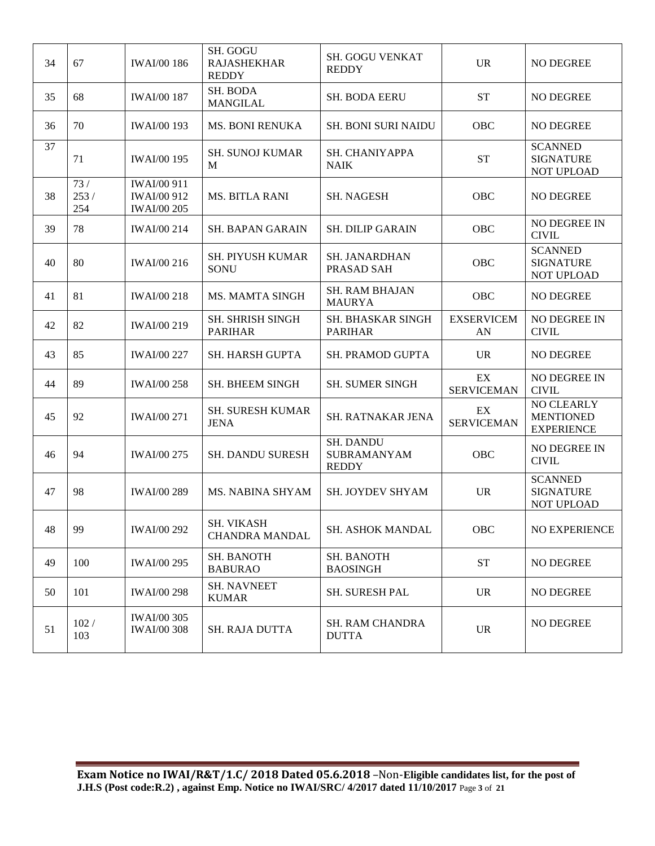| 34 | 67                 | <b>IWAI/00 186</b>                                             | SH. GOGU<br><b>RAJASHEKHAR</b><br><b>REDDY</b> | <b>SH. GOGU VENKAT</b><br><b>REDDY</b>                 | <b>UR</b>               | NO DEGREE                                                  |
|----|--------------------|----------------------------------------------------------------|------------------------------------------------|--------------------------------------------------------|-------------------------|------------------------------------------------------------|
| 35 | 68                 | <b>IWAI/00 187</b>                                             | SH. BODA<br><b>MANGILAL</b>                    | <b>SH. BODA EERU</b>                                   | <b>ST</b>               | <b>NO DEGREE</b>                                           |
| 36 | 70                 | <b>IWAI/00 193</b>                                             | <b>MS. BONI RENUKA</b>                         | <b>SH. BONI SURI NAIDU</b>                             | <b>OBC</b>              | NO DEGREE                                                  |
| 37 | 71                 | <b>IWAI/00 195</b>                                             | <b>SH. SUNOJ KUMAR</b><br>M                    | SH. CHANIYAPPA<br><b>NAIK</b>                          | <b>ST</b>               | <b>SCANNED</b><br><b>SIGNATURE</b><br>NOT UPLOAD           |
| 38 | 73/<br>253/<br>254 | <b>IWAI/00 911</b><br><b>IWAI/00 912</b><br><b>IWAI/00 205</b> | <b>MS. BITLA RANI</b>                          | <b>SH. NAGESH</b>                                      | OBC                     | NO DEGREE                                                  |
| 39 | 78                 | <b>IWAI/00 214</b>                                             | <b>SH. BAPAN GARAIN</b>                        | <b>SH. DILIP GARAIN</b>                                | OBC                     | NO DEGREE IN<br><b>CIVIL</b>                               |
| 40 | 80                 | <b>IWAI/00 216</b>                                             | SH. PIYUSH KUMAR<br><b>SONU</b>                | SH. JANARDHAN<br>PRASAD SAH                            | OBC                     | <b>SCANNED</b><br><b>SIGNATURE</b><br>NOT UPLOAD           |
| 41 | 81                 | <b>IWAI/00 218</b>                                             | MS. MAMTA SINGH                                | <b>SH. RAM BHAJAN</b><br><b>MAURYA</b>                 | OBC                     | NO DEGREE                                                  |
| 42 | 82                 | <b>IWAI/00 219</b>                                             | SH. SHRISH SINGH<br><b>PARIHAR</b>             | <b>SH. BHASKAR SINGH</b><br><b>PARIHAR</b>             | <b>EXSERVICEM</b><br>AN | NO DEGREE IN<br><b>CIVIL</b>                               |
| 43 | 85                 | <b>IWAI/00 227</b>                                             | <b>SH. HARSH GUPTA</b>                         | <b>SH. PRAMOD GUPTA</b>                                | <b>UR</b>               | <b>NO DEGREE</b>                                           |
| 44 | 89                 | <b>IWAI/00 258</b>                                             | <b>SH. BHEEM SINGH</b>                         | <b>SH. SUMER SINGH</b>                                 | EX<br><b>SERVICEMAN</b> | NO DEGREE IN<br><b>CIVIL</b>                               |
| 45 | 92                 | <b>IWAI/00 271</b>                                             | <b>SH. SURESH KUMAR</b><br><b>JENA</b>         | SH. RATNAKAR JENA                                      | EX<br><b>SERVICEMAN</b> | <b>NO CLEARLY</b><br><b>MENTIONED</b><br><b>EXPERIENCE</b> |
| 46 | 94                 | <b>IWAI/00 275</b>                                             | <b>SH. DANDU SURESH</b>                        | <b>SH. DANDU</b><br><b>SUBRAMANYAM</b><br><b>REDDY</b> | OBC                     | NO DEGREE IN<br><b>CIVIL</b>                               |
| 47 | 98                 | <b>IWAI/00 289</b>                                             | MS. NABINA SHYAM                               | SH. JOYDEV SHYAM                                       | <b>UR</b>               | <b>SCANNED</b><br><b>SIGNATURE</b><br>NOT UPLOAD           |
| 48 | 99                 | <b>IWAI/00 292</b>                                             | SH. VIKASH<br><b>CHANDRA MANDAL</b>            | SH. ASHOK MANDAL                                       | OBC                     | NO EXPERIENCE                                              |
| 49 | 100                | <b>IWAI/00 295</b>                                             | <b>SH. BANOTH</b><br><b>BABURAO</b>            | SH. BANOTH<br><b>BAOSINGH</b>                          | <b>ST</b>               | NO DEGREE                                                  |
| 50 | 101                | <b>IWAI/00 298</b>                                             | <b>SH. NAVNEET</b><br><b>KUMAR</b>             | SH. SURESH PAL                                         | <b>UR</b>               | NO DEGREE                                                  |
| 51 | 102/<br>103        | <b>IWAI/00 305</b><br><b>IWAI/00 308</b>                       | SH. RAJA DUTTA                                 | <b>SH. RAM CHANDRA</b><br><b>DUTTA</b>                 | <b>UR</b>               | NO DEGREE                                                  |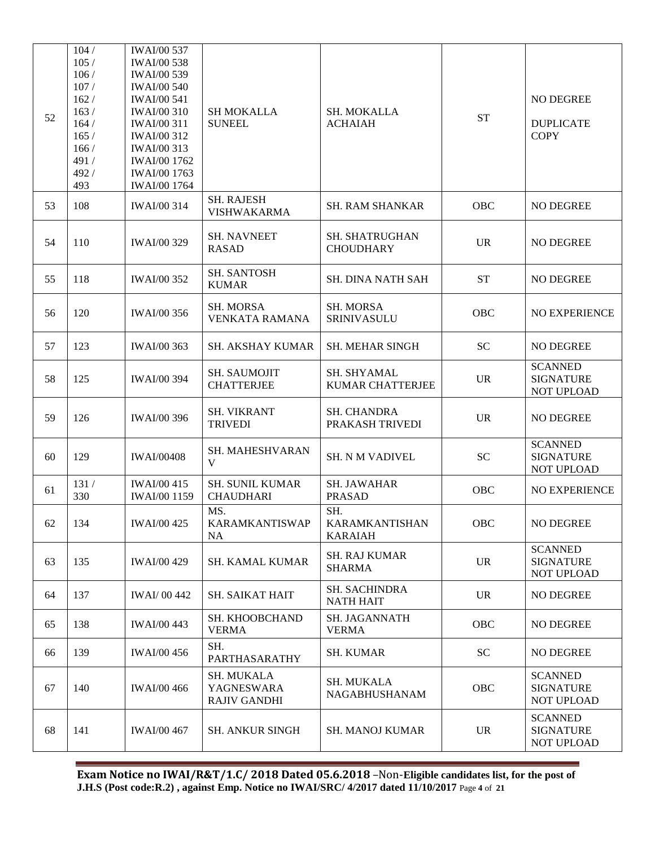|    | 104/         | <b>IWAI/00 537</b>                       |                                                        |                                          |           |                                                  |
|----|--------------|------------------------------------------|--------------------------------------------------------|------------------------------------------|-----------|--------------------------------------------------|
|    | 105/         | <b>IWAI/00 538</b>                       |                                                        |                                          |           |                                                  |
|    | 106/         | <b>IWAI/00 539</b>                       |                                                        |                                          |           |                                                  |
|    | 107/<br>162/ | <b>IWAI/00 540</b>                       |                                                        |                                          |           | NO DEGREE                                        |
|    | 163/         | <b>IWAI/00 541</b><br><b>IWAI/00 310</b> | <b>SH MOKALLA</b>                                      | SH. MOKALLA                              |           |                                                  |
| 52 | 164/         | <b>IWAI/00 311</b>                       | <b>SUNEEL</b>                                          | <b>ACHAIAH</b>                           | <b>ST</b> | <b>DUPLICATE</b>                                 |
|    | 165/         | <b>IWAI/00 312</b>                       |                                                        |                                          |           | <b>COPY</b>                                      |
|    | 166/         | <b>IWAI/00 313</b>                       |                                                        |                                          |           |                                                  |
|    | 491 /        | <b>IWAI/00 1762</b>                      |                                                        |                                          |           |                                                  |
|    | 492/         | <b>IWAI/00 1763</b>                      |                                                        |                                          |           |                                                  |
|    | 493          | <b>IWAI/00 1764</b>                      |                                                        |                                          |           |                                                  |
| 53 | 108          | <b>IWAI/00 314</b>                       | <b>SH. RAJESH</b><br><b>VISHWAKARMA</b>                | <b>SH. RAM SHANKAR</b>                   | OBC       | NO DEGREE                                        |
| 54 | 110          | <b>IWAI/00 329</b>                       | <b>SH. NAVNEET</b><br><b>RASAD</b>                     | SH. SHATRUGHAN<br><b>CHOUDHARY</b>       | <b>UR</b> | NO DEGREE                                        |
| 55 | 118          | <b>IWAI/00 352</b>                       | <b>SH. SANTOSH</b><br><b>KUMAR</b>                     | <b>SH. DINA NATH SAH</b>                 | <b>ST</b> | NO DEGREE                                        |
| 56 | 120          | <b>IWAI/00 356</b>                       | <b>SH. MORSA</b><br><b>VENKATA RAMANA</b>              | <b>SH. MORSA</b><br>SRINIVASULU          | OBC       | <b>NO EXPERIENCE</b>                             |
| 57 | 123          | <b>IWAI/00 363</b>                       | <b>SH. AKSHAY KUMAR</b>                                | <b>SH. MEHAR SINGH</b>                   | <b>SC</b> | NO DEGREE                                        |
| 58 | 125          | <b>IWAI/00 394</b>                       | SH. SAUMOJIT<br><b>CHATTERJEE</b>                      | SH. SHYAMAL<br>KUMAR CHATTERJEE          | <b>UR</b> | <b>SCANNED</b><br><b>SIGNATURE</b><br>NOT UPLOAD |
| 59 | 126          | <b>IWAI/00 396</b>                       | <b>SH. VIKRANT</b><br><b>TRIVEDI</b>                   | <b>SH. CHANDRA</b><br>PRAKASH TRIVEDI    | <b>UR</b> | NO DEGREE                                        |
| 60 | 129          | <b>IWAI/00408</b>                        | SH. MAHESHVARAN<br>$\mathbf{V}$                        | <b>SH. N M VADIVEL</b>                   | <b>SC</b> | <b>SCANNED</b><br><b>SIGNATURE</b><br>NOT UPLOAD |
| 61 | 131/<br>330  | <b>IWAI/00 415</b><br>IWAI/00 1159       | <b>SH. SUNIL KUMAR</b><br><b>CHAUDHARI</b>             | <b>SH. JAWAHAR</b><br><b>PRASAD</b>      | OBC       | NO EXPERIENCE                                    |
| 62 | 134          | <b>IWAI/00 425</b>                       | MS.<br>KARAMKANTISWAP<br>NA                            | SH.<br>KARAMKANTISHAN<br><b>KARAIAH</b>  | OBC       | NO DEGREE                                        |
| 63 | 135          | <b>IWAI/00 429</b>                       | <b>SH. KAMAL KUMAR</b>                                 | <b>SH. RAJ KUMAR</b><br><b>SHARMA</b>    | <b>UR</b> | <b>SCANNED</b><br><b>SIGNATURE</b><br>NOT UPLOAD |
| 64 | 137          | <b>IWAI/00442</b>                        | <b>SH. SAIKAT HAIT</b>                                 | <b>SH. SACHINDRA</b><br><b>NATH HAIT</b> | <b>UR</b> | NO DEGREE                                        |
| 65 | 138          | <b>IWAI/00 443</b>                       | SH. KHOOBCHAND<br><b>VERMA</b>                         | <b>SH. JAGANNATH</b><br><b>VERMA</b>     | OBC       | NO DEGREE                                        |
| 66 | 139          | <b>IWAI/00 456</b>                       | SH.<br>PARTHASARATHY                                   | <b>SH. KUMAR</b>                         | SC        | NO DEGREE                                        |
| 67 | 140          | <b>IWAI/00 466</b>                       | <b>SH. MUKALA</b><br>YAGNESWARA<br><b>RAJIV GANDHI</b> | SH. MUKALA<br>NAGABHUSHANAM              | OBC       | <b>SCANNED</b><br><b>SIGNATURE</b><br>NOT UPLOAD |
| 68 | 141          | <b>IWAI/00 467</b>                       | <b>SH. ANKUR SINGH</b>                                 | <b>SH. MANOJ KUMAR</b>                   | <b>UR</b> | <b>SCANNED</b><br><b>SIGNATURE</b><br>NOT UPLOAD |

**Exam Notice no IWAI/R&T/1.C/ 2018 Dated 05.6.2018** –Non-**Eligible candidates list, for the post of J.H.S (Post code:R.2) , against Emp. Notice no IWAI/SRC/ 4/2017 dated 11/10/2017** Page **4** of **21**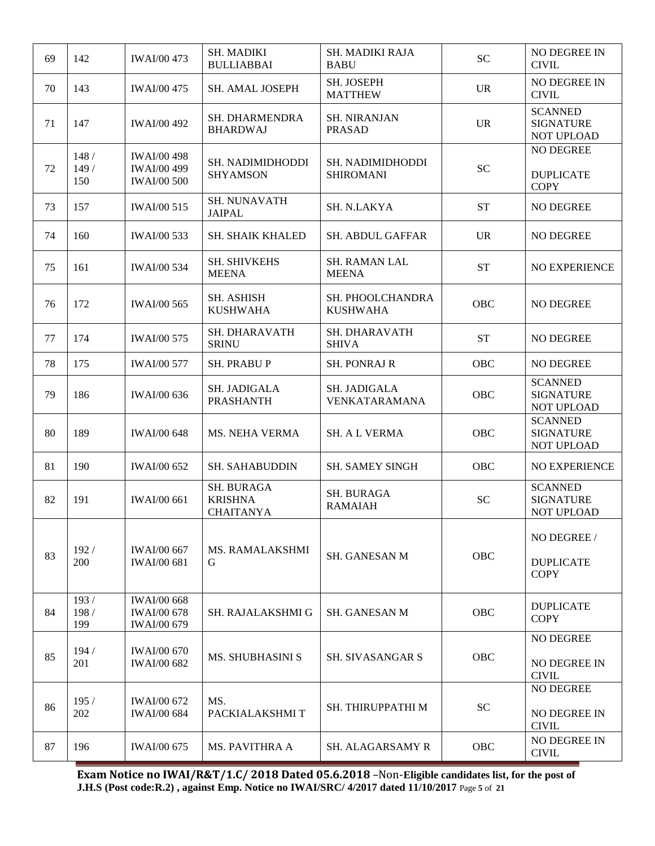| 69 | 142                 | <b>IWAI/00 473</b>                                             | <b>SH. MADIKI</b><br><b>BULLIABBAI</b>                  | SH. MADIKI RAJA<br><b>BABU</b>       | <b>SC</b>  | NO DEGREE IN<br><b>CIVIL</b>                     |
|----|---------------------|----------------------------------------------------------------|---------------------------------------------------------|--------------------------------------|------------|--------------------------------------------------|
| 70 | 143                 | <b>IWAI/00 475</b>                                             | <b>SH. AMAL JOSEPH</b>                                  | SH. JOSEPH<br><b>MATTHEW</b>         | <b>UR</b>  | NO DEGREE IN<br><b>CIVIL</b>                     |
| 71 | 147                 | <b>IWAI/00 492</b>                                             | SH. DHARMENDRA<br><b>BHARDWAJ</b>                       | <b>SH. NIRANJAN</b><br><b>PRASAD</b> | <b>UR</b>  | <b>SCANNED</b><br><b>SIGNATURE</b><br>NOT UPLOAD |
| 72 | 148/<br>149/<br>150 | <b>IWAI/00 498</b><br><b>IWAI/00 499</b><br><b>IWAI/00 500</b> | SH. NADIMIDHODDI<br><b>SHYAMSON</b>                     | SH. NADIMIDHODDI<br><b>SHIROMANI</b> | <b>SC</b>  | NO DEGREE<br><b>DUPLICATE</b><br><b>COPY</b>     |
| 73 | 157                 | <b>IWAI/00 515</b>                                             | <b>SH. NUNAVATH</b><br><b>JAIPAL</b>                    | SH. N.LAKYA                          | <b>ST</b>  | NO DEGREE                                        |
| 74 | 160                 | <b>IWAI/00 533</b>                                             | SH. SHAIK KHALED                                        | <b>SH. ABDUL GAFFAR</b>              | <b>UR</b>  | NO DEGREE                                        |
| 75 | 161                 | <b>IWAI/00 534</b>                                             | SH. SHIVKEHS<br><b>MEENA</b>                            | <b>SH. RAMAN LAL</b><br><b>MEENA</b> | <b>ST</b>  | NO EXPERIENCE                                    |
| 76 | 172                 | <b>IWAI/00 565</b>                                             | <b>SH. ASHISH</b><br><b>KUSHWAHA</b>                    | SH. PHOOLCHANDRA<br><b>KUSHWAHA</b>  | OBC        | NO DEGREE                                        |
| 77 | 174                 | <b>IWAI/00 575</b>                                             | SH. DHARAVATH<br><b>SRINU</b>                           | SH. DHARAVATH<br><b>SHIVA</b>        | <b>ST</b>  | <b>NO DEGREE</b>                                 |
| 78 | 175                 | <b>IWAI/00 577</b>                                             | <b>SH. PRABUP</b>                                       | <b>SH. PONRAJ R</b>                  | OBC        | NO DEGREE                                        |
| 79 | 186                 | <b>IWAI/00 636</b>                                             | SH. JADIGALA<br><b>PRASHANTH</b>                        | SH. JADIGALA<br>VENKATARAMANA        | OBC        | <b>SCANNED</b><br><b>SIGNATURE</b><br>NOT UPLOAD |
| 80 | 189                 | <b>IWAI/00 648</b>                                             | MS. NEHA VERMA                                          | <b>SH. A L VERMA</b>                 | <b>OBC</b> | <b>SCANNED</b><br><b>SIGNATURE</b><br>NOT UPLOAD |
| 81 | 190                 | <b>IWAI/00 652</b>                                             | <b>SH. SAHABUDDIN</b>                                   | <b>SH. SAMEY SINGH</b>               | <b>OBC</b> | <b>NO EXPERIENCE</b>                             |
| 82 | 191                 | <b>IWAI/00 661</b>                                             | <b>SH. BURAGA</b><br><b>KRISHNA</b><br><b>CHAITANYA</b> | <b>SH. BURAGA</b><br><b>RAMAIAH</b>  | <b>SC</b>  | <b>SCANNED</b><br><b>SIGNATURE</b><br>NOT UPLOAD |
| 83 | 192/<br>200         | <b>IWAI/00 667</b><br><b>IWAI/00 681</b>                       | <b>MS. RAMALAKSHMI</b><br>G                             | <b>SH. GANESAN M</b>                 | OBC        | NO DEGREE /<br><b>DUPLICATE</b><br><b>COPY</b>   |
| 84 | 193/<br>198/<br>199 | <b>IWAI/00 668</b><br><b>IWAI/00 678</b><br><b>IWAI/00 679</b> | <b>SH. RAJALAKSHMI G</b>                                | <b>SH. GANESAN M</b>                 | OBC        | <b>DUPLICATE</b><br><b>COPY</b>                  |
| 85 | 194/<br>201         | <b>IWAI/00 670</b><br><b>IWAI/00 682</b>                       | <b>MS. SHUBHASINI S</b>                                 | <b>SH. SIVASANGAR S</b>              | OBC        | NO DEGREE<br>NO DEGREE IN<br><b>CIVIL</b>        |
| 86 | 195/<br>202         | <b>IWAI/00 672</b><br><b>IWAI/00 684</b>                       | MS.<br>PACKIALAKSHMIT                                   | SH. THIRUPPATHI M                    | SC         | NO DEGREE<br>NO DEGREE IN<br><b>CIVIL</b>        |
| 87 | 196                 | <b>IWAI/00 675</b>                                             | <b>MS. PAVITHRA A</b>                                   | <b>SH. ALAGARSAMY R</b>              | OBC        | NO DEGREE IN<br><b>CIVIL</b>                     |

**Exam Notice no IWAI/R&T/1.C/ 2018 Dated 05.6.2018** –Non-**Eligible candidates list, for the post of J.H.S (Post code:R.2) , against Emp. Notice no IWAI/SRC/ 4/2017 dated 11/10/2017** Page **5** of **21**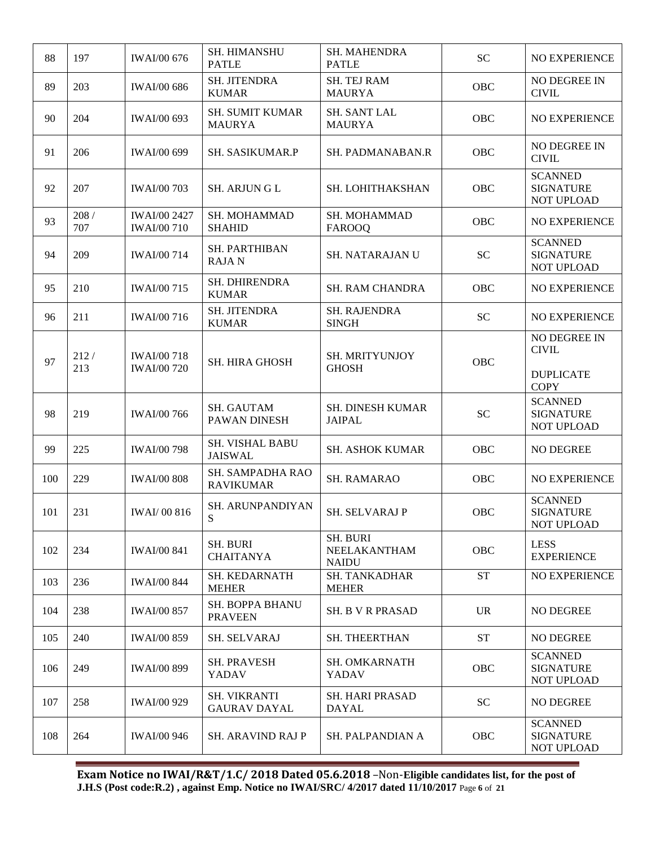| 88  | 197           | <b>IWAI/00 676</b>                        | <b>SH. HIMANSHU</b><br><b>PATLE</b>        | <b>SH. MAHENDRA</b><br><b>PATLE</b>             | <b>SC</b>  | <b>NO EXPERIENCE</b>                             |
|-----|---------------|-------------------------------------------|--------------------------------------------|-------------------------------------------------|------------|--------------------------------------------------|
| 89  | 203           | <b>IWAI/00 686</b>                        | SH. JITENDRA<br><b>KUMAR</b>               | <b>SH. TEJ RAM</b><br><b>MAURYA</b>             | OBC        | NO DEGREE IN<br><b>CIVIL</b>                     |
| 90  | 204           | <b>IWAI/00 693</b>                        | <b>SH. SUMIT KUMAR</b><br><b>MAURYA</b>    | SH. SANT LAL<br><b>MAURYA</b>                   | <b>OBC</b> | NO EXPERIENCE                                    |
| 91  | 206           | <b>IWAI/00 699</b>                        | SH. SASIKUMAR.P                            | SH. PADMANABAN.R                                | <b>OBC</b> | NO DEGREE IN<br><b>CIVIL</b>                     |
| 92  | 207           | <b>IWAI/00 703</b>                        | <b>SH. ARJUNGL</b>                         | SH. LOHITHAKSHAN                                | <b>OBC</b> | <b>SCANNED</b><br><b>SIGNATURE</b><br>NOT UPLOAD |
| 93  | $208/$<br>707 | <b>IWAI/00 2427</b><br><b>IWAI/00 710</b> | SH. MOHAMMAD<br><b>SHAHID</b>              | SH. MOHAMMAD<br><b>FAROOQ</b>                   | OBC        | NO EXPERIENCE                                    |
| 94  | 209           | <b>IWAI/00 714</b>                        | <b>SH. PARTHIBAN</b><br><b>RAJAN</b>       | SH. NATARAJAN U                                 | <b>SC</b>  | <b>SCANNED</b><br><b>SIGNATURE</b><br>NOT UPLOAD |
| 95  | 210           | <b>IWAI/00 715</b>                        | SH. DHIRENDRA<br><b>KUMAR</b>              | <b>SH. RAM CHANDRA</b>                          | OBC        | NO EXPERIENCE                                    |
| 96  | 211           | <b>IWAI/00 716</b>                        | SH. JITENDRA<br><b>KUMAR</b>               | SH. RAJENDRA<br><b>SINGH</b>                    | <b>SC</b>  | NO EXPERIENCE                                    |
| 97  | 212/<br>213   | <b>IWAI/00 718</b><br><b>IWAI/00 720</b>  | SH. HIRA GHOSH                             | SH. MRITYUNJOY<br><b>GHOSH</b>                  | <b>OBC</b> | NO DEGREE IN<br><b>CIVIL</b><br><b>DUPLICATE</b> |
|     |               |                                           |                                            |                                                 |            | <b>COPY</b>                                      |
| 98  | 219           | <b>IWAI/00 766</b>                        | <b>SH. GAUTAM</b><br>PAWAN DINESH          | <b>SH. DINESH KUMAR</b><br><b>JAIPAL</b>        | <b>SC</b>  | <b>SCANNED</b><br><b>SIGNATURE</b><br>NOT UPLOAD |
| 99  | 225           | <b>IWAI/00 798</b>                        | SH. VISHAL BABU<br><b>JAISWAL</b>          | <b>SH. ASHOK KUMAR</b>                          | OBC        | NO DEGREE                                        |
| 100 | 229           | <b>IWAI/00 808</b>                        | SH. SAMPADHA RAO<br><b>RAVIKUMAR</b>       | <b>SH. RAMARAO</b>                              | OBC        | NO EXPERIENCE                                    |
| 101 | 231           | <b>IWAI/00 816</b>                        | SH. ARUNPANDIYAN<br>S                      | SH. SELVARAJ P                                  | OBC        | <b>SCANNED</b><br><b>SIGNATURE</b><br>NOT UPLOAD |
| 102 | 234           | <b>IWAI/00 841</b>                        | <b>SH. BURI</b><br><b>CHAITANYA</b>        | <b>SH. BURI</b><br>NEELAKANTHAM<br><b>NAIDU</b> | <b>OBC</b> | <b>LESS</b><br><b>EXPERIENCE</b>                 |
| 103 | 236           | <b>IWAI/00 844</b>                        | SH. KEDARNATH<br><b>MEHER</b>              | <b>SH. TANKADHAR</b><br><b>MEHER</b>            | <b>ST</b>  | NO EXPERIENCE                                    |
| 104 | 238           | <b>IWAI/00 857</b>                        | SH. BOPPA BHANU<br><b>PRAVEEN</b>          | <b>SH. B V R PRASAD</b>                         | <b>UR</b>  | <b>NO DEGREE</b>                                 |
| 105 | 240           | <b>IWAI/00 859</b>                        | SH. SELVARAJ                               | SH. THEERTHAN                                   | <b>ST</b>  | NO DEGREE                                        |
| 106 | 249           | <b>IWAI/00 899</b>                        | <b>SH. PRAVESH</b><br>YADAV                | <b>SH. OMKARNATH</b><br>YADAV                   | OBC        | <b>SCANNED</b><br><b>SIGNATURE</b><br>NOT UPLOAD |
| 107 | 258           | <b>IWAI/00 929</b>                        | <b>SH. VIKRANTI</b><br><b>GAURAV DAYAL</b> | <b>SH. HARI PRASAD</b><br><b>DAYAL</b>          | SC         | NO DEGREE                                        |
| 108 | 264           | <b>IWAI/00 946</b>                        | <b>SH. ARAVIND RAJ P</b>                   | SH. PALPANDIAN A                                | <b>OBC</b> | <b>SCANNED</b><br><b>SIGNATURE</b><br>NOT UPLOAD |

**Exam Notice no IWAI/R&T/1.C/ 2018 Dated 05.6.2018** –Non-**Eligible candidates list, for the post of J.H.S (Post code:R.2) , against Emp. Notice no IWAI/SRC/ 4/2017 dated 11/10/2017** Page **6** of **21**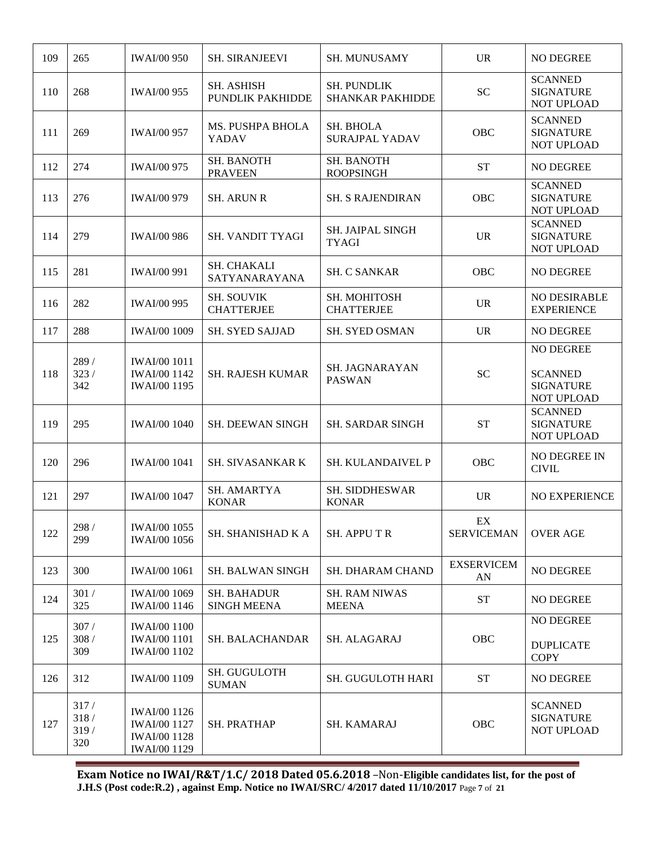| 109 | 265                         | <b>IWAI/00 950</b>                                                                       | <b>SH. SIRANJEEVI</b>                    | <b>SH. MUNUSAMY</b>                           | <b>UR</b>               | <b>NO DEGREE</b>                                              |
|-----|-----------------------------|------------------------------------------------------------------------------------------|------------------------------------------|-----------------------------------------------|-------------------------|---------------------------------------------------------------|
| 110 | 268                         | <b>IWAI/00 955</b>                                                                       | <b>SH. ASHISH</b><br>PUNDLIK PAKHIDDE    | <b>SH. PUNDLIK</b><br><b>SHANKAR PAKHIDDE</b> | <b>SC</b>               | <b>SCANNED</b><br><b>SIGNATURE</b><br>NOT UPLOAD              |
| 111 | 269                         | <b>IWAI/00 957</b>                                                                       | MS. PUSHPA BHOLA<br><b>YADAV</b>         | SH. BHOLA<br><b>SURAJPAL YADAV</b>            | OBC                     | <b>SCANNED</b><br><b>SIGNATURE</b><br><b>NOT UPLOAD</b>       |
| 112 | 274                         | <b>IWAI/00 975</b>                                                                       | <b>SH. BANOTH</b><br><b>PRAVEEN</b>      | <b>SH. BANOTH</b><br><b>ROOPSINGH</b>         | <b>ST</b>               | <b>NO DEGREE</b>                                              |
| 113 | 276                         | <b>IWAI/00 979</b>                                                                       | <b>SH. ARUN R</b>                        | <b>SH. S RAJENDIRAN</b>                       | <b>OBC</b>              | <b>SCANNED</b><br><b>SIGNATURE</b><br>NOT UPLOAD              |
| 114 | 279                         | <b>IWAI/00 986</b>                                                                       | <b>SH. VANDIT TYAGI</b>                  | <b>SH. JAIPAL SINGH</b><br>TYAGI              | <b>UR</b>               | <b>SCANNED</b><br><b>SIGNATURE</b><br><b>NOT UPLOAD</b>       |
| 115 | 281                         | <b>IWAI/00 991</b>                                                                       | SH. CHAKALI<br>SATYANARAYANA             | <b>SH. C SANKAR</b>                           | OBC                     | NO DEGREE                                                     |
| 116 | 282                         | <b>IWAI/00 995</b>                                                                       | <b>SH. SOUVIK</b><br><b>CHATTERJEE</b>   | SH. MOHITOSH<br><b>CHATTERJEE</b>             | <b>UR</b>               | NO DESIRABLE<br><b>EXPERIENCE</b>                             |
| 117 | 288                         | <b>IWAI/00 1009</b>                                                                      | <b>SH. SYED SAJJAD</b>                   | <b>SH. SYED OSMAN</b>                         | <b>UR</b>               | NO DEGREE                                                     |
| 118 | 289 /<br>323/<br>342        | <b>IWAI/00 1011</b><br><b>IWAI/00 1142</b><br><b>IWAI/00 1195</b>                        | <b>SH. RAJESH KUMAR</b>                  | SH. JAGNARAYAN<br><b>PASWAN</b>               | <b>SC</b>               | NO DEGREE<br><b>SCANNED</b><br><b>SIGNATURE</b><br>NOT UPLOAD |
| 119 | 295                         | <b>IWAI/00 1040</b>                                                                      | <b>SH. DEEWAN SINGH</b>                  | <b>SH. SARDAR SINGH</b>                       | <b>ST</b>               | <b>SCANNED</b><br><b>SIGNATURE</b><br>NOT UPLOAD              |
| 120 | 296                         | <b>IWAI/00 1041</b>                                                                      | <b>SH. SIVASANKAR K</b>                  | <b>SH. KULANDAIVEL P</b>                      | OBC                     | <b>NO DEGREE IN</b><br><b>CIVIL</b>                           |
| 121 | 297                         | <b>IWAI/00 1047</b>                                                                      | SH. AMARTYA<br><b>KONAR</b>              | SH. SIDDHESWAR<br><b>KONAR</b>                | <b>UR</b>               | <b>NO EXPERIENCE</b>                                          |
| 122 | 298 /<br>299                | <b>IWAI/00 1055</b><br><b>IWAI/00 1056</b>                                               | SH. SHANISHAD K A                        | <b>SH. APPUTR</b>                             | EX<br><b>SERVICEMAN</b> | <b>OVER AGE</b>                                               |
| 123 | 300                         | <b>IWAI/00 1061</b>                                                                      | <b>SH. BALWAN SINGH</b>                  | <b>SH. DHARAM CHAND</b>                       | <b>EXSERVICEM</b><br>AN | <b>NO DEGREE</b>                                              |
| 124 | $301\ /$<br>325             | <b>IWAI/00 1069</b><br><b>IWAI/00 1146</b>                                               | <b>SH. BAHADUR</b><br><b>SINGH MEENA</b> | <b>SH. RAM NIWAS</b><br><b>MEENA</b>          | <b>ST</b>               | NO DEGREE                                                     |
| 125 | 307/<br>308/<br>309         | <b>IWAI/00 1100</b><br><b>IWAI/00 1101</b><br><b>IWAI/00 1102</b>                        | <b>SH. BALACHANDAR</b>                   | SH. ALAGARAJ                                  | OBC                     | NO DEGREE<br><b>DUPLICATE</b><br><b>COPY</b>                  |
| 126 | 312                         | <b>IWAI/00 1109</b>                                                                      | SH. GUGULOTH<br><b>SUMAN</b>             | <b>SH. GUGULOTH HARI</b>                      | <b>ST</b>               | NO DEGREE                                                     |
| 127 | 317/<br>318/<br>319/<br>320 | <b>IWAI/00 1126</b><br><b>IWAI/00 1127</b><br><b>IWAI/00 1128</b><br><b>IWAI/00 1129</b> | <b>SH. PRATHAP</b>                       | SH. KAMARAJ                                   | OBC                     | <b>SCANNED</b><br><b>SIGNATURE</b><br>NOT UPLOAD              |

**Exam Notice no IWAI/R&T/1.C/ 2018 Dated 05.6.2018** –Non-**Eligible candidates list, for the post of J.H.S (Post code:R.2) , against Emp. Notice no IWAI/SRC/ 4/2017 dated 11/10/2017** Page **7** of **21**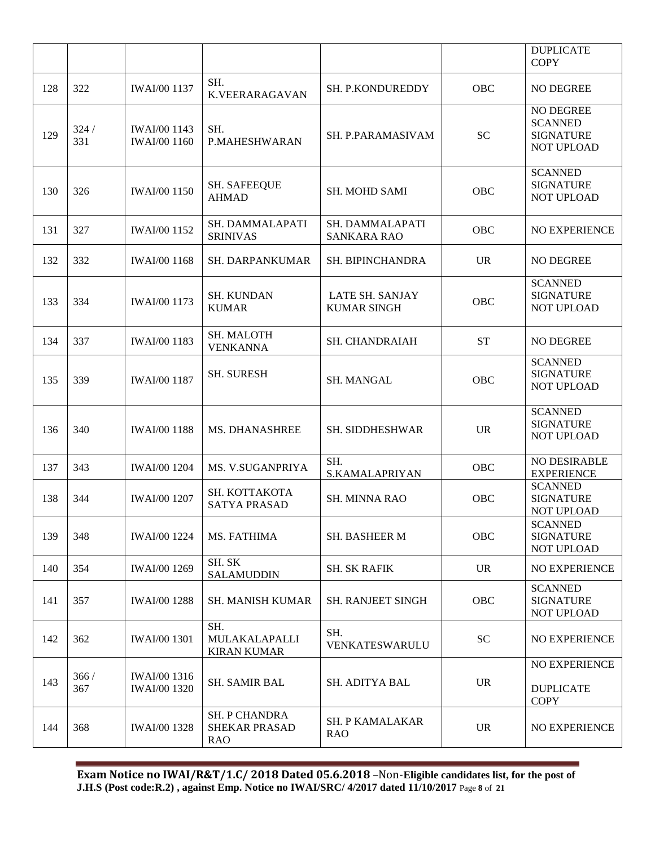|     |             |                                            |                                                            |                                       |           | <b>DUPLICATE</b><br><b>COPY</b>                                      |
|-----|-------------|--------------------------------------------|------------------------------------------------------------|---------------------------------------|-----------|----------------------------------------------------------------------|
| 128 | 322         | <b>IWAI/00 1137</b>                        | SH.<br>K.VEERARAGAVAN                                      | SH. P.KONDUREDDY                      | OBC       | <b>NO DEGREE</b>                                                     |
| 129 | 324/<br>331 | <b>IWAI/00 1143</b><br><b>IWAI/00 1160</b> | SH.<br>P.MAHESHWARAN                                       | SH. P.PARAMASIVAM                     | <b>SC</b> | NO DEGREE<br><b>SCANNED</b><br><b>SIGNATURE</b><br><b>NOT UPLOAD</b> |
| 130 | 326         | <b>IWAI/00 1150</b>                        | <b>SH. SAFEEQUE</b><br><b>AHMAD</b>                        | <b>SH. MOHD SAMI</b>                  | OBC       | <b>SCANNED</b><br><b>SIGNATURE</b><br><b>NOT UPLOAD</b>              |
| 131 | 327         | <b>IWAI/00 1152</b>                        | SH. DAMMALAPATI<br><b>SRINIVAS</b>                         | SH. DAMMALAPATI<br><b>SANKARA RAO</b> | OBC       | NO EXPERIENCE                                                        |
| 132 | 332         | <b>IWAI/00 1168</b>                        | <b>SH. DARPANKUMAR</b>                                     | SH. BIPINCHANDRA                      | <b>UR</b> | <b>NO DEGREE</b>                                                     |
| 133 | 334         | <b>IWAI/00 1173</b>                        | <b>SH. KUNDAN</b><br><b>KUMAR</b>                          | LATE SH. SANJAY<br><b>KUMAR SINGH</b> | OBC       | <b>SCANNED</b><br><b>SIGNATURE</b><br>NOT UPLOAD                     |
| 134 | 337         | <b>IWAI/00 1183</b>                        | SH. MALOTH<br><b>VENKANNA</b>                              | SH. CHANDRAIAH                        | <b>ST</b> | NO DEGREE                                                            |
| 135 | 339         | <b>IWAI/00 1187</b>                        | <b>SH. SURESH</b>                                          | SH. MANGAL                            | OBC       | <b>SCANNED</b><br><b>SIGNATURE</b><br><b>NOT UPLOAD</b>              |
| 136 | 340         | <b>IWAI/00 1188</b>                        | MS. DHANASHREE                                             | SH. SIDDHESHWAR                       | <b>UR</b> | <b>SCANNED</b><br><b>SIGNATURE</b><br>NOT UPLOAD                     |
| 137 | 343         | <b>IWAI/00 1204</b>                        | MS. V.SUGANPRIYA                                           | SH.<br>S.KAMALAPRIYAN                 | OBC       | NO DESIRABLE<br><b>EXPERIENCE</b>                                    |
| 138 | 344         | <b>IWAI/00 1207</b>                        | SH. KOTTAKOTA<br><b>SATYA PRASAD</b>                       | <b>SH. MINNA RAO</b>                  | OBC       | <b>SCANNED</b><br><b>SIGNATURE</b><br>NOT UPLOAD                     |
| 139 | 348         | <b>IWAI/00 1224</b>                        | MS. FATHIMA                                                | <b>SH. BASHEER M</b>                  | OBC       | <b>SCANNED</b><br><b>SIGNATURE</b><br>NOT UPLOAD                     |
| 140 | 354         | <b>IWAI/00 1269</b>                        | SH. SK<br><b>SALAMUDDIN</b>                                | <b>SH. SK RAFIK</b>                   | <b>UR</b> | NO EXPERIENCE                                                        |
| 141 | 357         | <b>IWAI/00 1288</b>                        | SH. MANISH KUMAR                                           | <b>SH. RANJEET SINGH</b>              | OBC       | <b>SCANNED</b><br><b>SIGNATURE</b><br><b>NOT UPLOAD</b>              |
| 142 | 362         | <b>IWAI/00 1301</b>                        | SH.<br>MULAKALAPALLI<br><b>KIRAN KUMAR</b>                 | SH.<br>VENKATESWARULU                 | <b>SC</b> | NO EXPERIENCE                                                        |
| 143 | 366/<br>367 | IWAI/00 1316<br><b>IWAI/00 1320</b>        | SH. SAMIR BAL                                              | SH. ADITYA BAL                        | <b>UR</b> | NO EXPERIENCE<br><b>DUPLICATE</b><br><b>COPY</b>                     |
| 144 | 368         | <b>IWAI/00 1328</b>                        | <b>SH. P CHANDRA</b><br><b>SHEKAR PRASAD</b><br><b>RAO</b> | <b>SH. P KAMALAKAR</b><br><b>RAO</b>  | <b>UR</b> | <b>NO EXPERIENCE</b>                                                 |

**Exam Notice no IWAI/R&T/1.C/ 2018 Dated 05.6.2018** –Non-**Eligible candidates list, for the post of J.H.S (Post code:R.2) , against Emp. Notice no IWAI/SRC/ 4/2017 dated 11/10/2017** Page **8** of **21**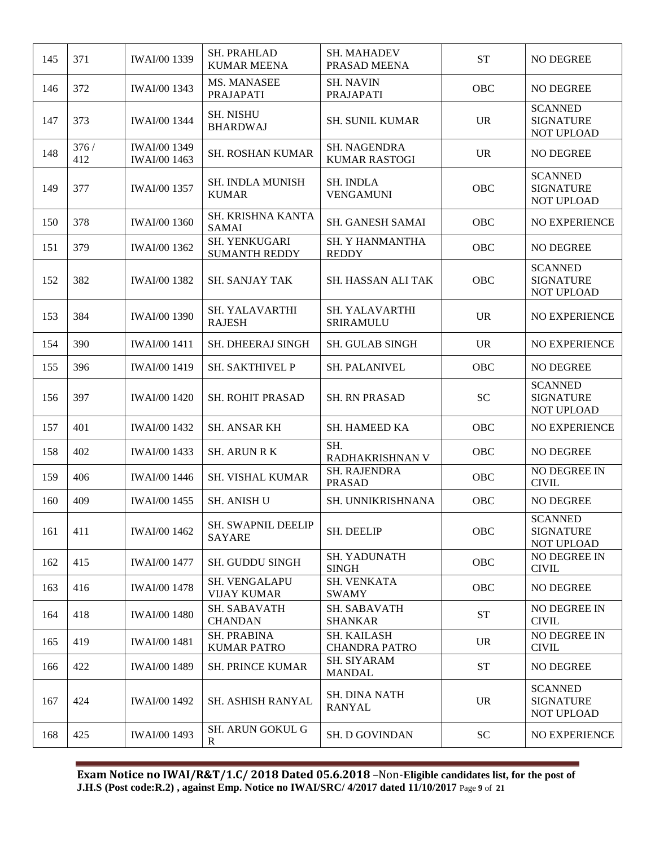| 145 | 371         | <b>IWAI/00 1339</b>                 | <b>SH. PRAHLAD</b><br><b>KUMAR MEENA</b> | <b>SH. MAHADEV</b><br>PRASAD MEENA         | <b>ST</b> | NO DEGREE                                               |
|-----|-------------|-------------------------------------|------------------------------------------|--------------------------------------------|-----------|---------------------------------------------------------|
| 146 | 372         | IWAI/00 1343                        | MS. MANASEE<br>PRAJAPATI                 | <b>SH. NAVIN</b><br>PRAJAPATI              | OBC       | NO DEGREE                                               |
| 147 | 373         | <b>IWAI/00 1344</b>                 | <b>SH. NISHU</b><br><b>BHARDWAJ</b>      | <b>SH. SUNIL KUMAR</b>                     | <b>UR</b> | <b>SCANNED</b><br><b>SIGNATURE</b><br>NOT UPLOAD        |
| 148 | 376/<br>412 | IWAI/00 1349<br><b>IWAI/00 1463</b> | <b>SH. ROSHAN KUMAR</b>                  | SH. NAGENDRA<br><b>KUMAR RASTOGI</b>       | <b>UR</b> | NO DEGREE                                               |
| 149 | 377         | <b>IWAI/00 1357</b>                 | <b>SH. INDLA MUNISH</b><br><b>KUMAR</b>  | <b>SH. INDLA</b><br><b>VENGAMUNI</b>       | OBC       | <b>SCANNED</b><br><b>SIGNATURE</b><br>NOT UPLOAD        |
| 150 | 378         | <b>IWAI/00 1360</b>                 | SH. KRISHNA KANTA<br><b>SAMAI</b>        | SH. GANESH SAMAI                           | OBC       | NO EXPERIENCE                                           |
| 151 | 379         | IWAI/00 1362                        | SH. YENKUGARI<br><b>SUMANTH REDDY</b>    | SH. Y HANMANTHA<br><b>REDDY</b>            | OBC       | NO DEGREE                                               |
| 152 | 382         | <b>IWAI/00 1382</b>                 | <b>SH. SANJAY TAK</b>                    | SH. HASSAN ALI TAK                         | OBC       | <b>SCANNED</b><br><b>SIGNATURE</b><br>NOT UPLOAD        |
| 153 | 384         | <b>IWAI/00 1390</b>                 | SH. YALAVARTHI<br><b>RAJESH</b>          | <b>SH. YALAVARTHI</b><br><b>SRIRAMULU</b>  | <b>UR</b> | NO EXPERIENCE                                           |
| 154 | 390         | <b>IWAI/00 1411</b>                 | <b>SH. DHEERAJ SINGH</b>                 | <b>SH. GULAB SINGH</b>                     | <b>UR</b> | <b>NO EXPERIENCE</b>                                    |
| 155 | 396         | <b>IWAI/00 1419</b>                 | SH. SAKTHIVEL P                          | <b>SH. PALANIVEL</b>                       | OBC       | NO DEGREE                                               |
| 156 | 397         | <b>IWAI/00 1420</b>                 | <b>SH. ROHIT PRASAD</b>                  | <b>SH. RN PRASAD</b>                       | <b>SC</b> | <b>SCANNED</b><br><b>SIGNATURE</b><br>NOT UPLOAD        |
| 157 | 401         | <b>IWAI/00 1432</b>                 | <b>SH. ANSAR KH</b>                      | SH. HAMEED KA                              | OBC       | NO EXPERIENCE                                           |
| 158 | 402         | <b>IWAI/00 1433</b>                 | <b>SH. ARUN R K</b>                      | SH.<br>RADHAKRISHNAN V                     | OBC       | NO DEGREE                                               |
| 159 | 406         | <b>IWAI/00 1446</b>                 | SH. VISHAL KUMAR                         | SH. RAJENDRA<br><b>PRASAD</b>              | OBC       | NO DEGREE IN<br><b>CIVIL</b>                            |
| 160 | 409         | <b>IWAI/00 1455</b>                 | <b>SH. ANISH U</b>                       | SH. UNNIKRISHNANA                          | OBC       | NO DEGREE                                               |
| 161 | 411         | <b>IWAI/00 1462</b>                 | SH. SWAPNIL DEELIP<br><b>SAYARE</b>      | SH. DEELIP                                 | OBC       | <b>SCANNED</b><br><b>SIGNATURE</b><br><b>NOT UPLOAD</b> |
| 162 | 415         | <b>IWAI/00 1477</b>                 | <b>SH. GUDDU SINGH</b>                   | SH. YADUNATH<br><b>SINGH</b>               | OBC       | NO DEGREE IN<br><b>CIVIL</b>                            |
| 163 | 416         | <b>IWAI/00 1478</b>                 | SH. VENGALAPU<br><b>VIJAY KUMAR</b>      | SH. VENKATA<br><b>SWAMY</b>                | OBC       | NO DEGREE                                               |
| 164 | 418         | <b>IWAI/00 1480</b>                 | <b>SH. SABAVATH</b><br><b>CHANDAN</b>    | <b>SH. SABAVATH</b><br><b>SHANKAR</b>      | <b>ST</b> | NO DEGREE IN<br><b>CIVIL</b>                            |
| 165 | 419         | <b>IWAI/00 1481</b>                 | <b>SH. PRABINA</b><br><b>KUMAR PATRO</b> | <b>SH. KAILASH</b><br><b>CHANDRA PATRO</b> | <b>UR</b> | NO DEGREE IN<br><b>CIVIL</b>                            |
| 166 | 422         | <b>IWAI/00 1489</b>                 | <b>SH. PRINCE KUMAR</b>                  | SH. SIYARAM<br><b>MANDAL</b>               | <b>ST</b> | NO DEGREE                                               |
| 167 | 424         | <b>IWAI/00 1492</b>                 | SH. ASHISH RANYAL                        | <b>SH. DINA NATH</b><br><b>RANYAL</b>      | <b>UR</b> | <b>SCANNED</b><br><b>SIGNATURE</b><br>NOT UPLOAD        |
| 168 | 425         | <b>IWAI/00 1493</b>                 | SH. ARUN GOKUL G<br>R                    | SH. D GOVINDAN                             | <b>SC</b> | NO EXPERIENCE                                           |

**Exam Notice no IWAI/R&T/1.C/ 2018 Dated 05.6.2018** –Non-**Eligible candidates list, for the post of J.H.S (Post code:R.2) , against Emp. Notice no IWAI/SRC/ 4/2017 dated 11/10/2017** Page **9** of **21**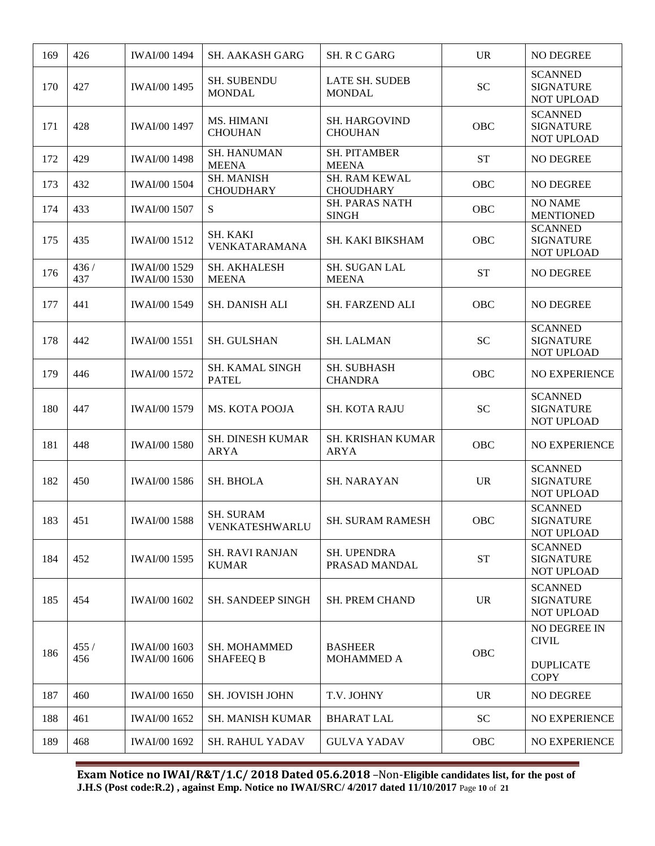| 169 | 426         | <b>IWAI/00 1494</b>                        | <b>SH. AAKASH GARG</b>                 | SH. R C GARG                           | <b>UR</b>       | NO DEGREE                                                              |
|-----|-------------|--------------------------------------------|----------------------------------------|----------------------------------------|-----------------|------------------------------------------------------------------------|
| 170 | 427         | <b>IWAI/00 1495</b>                        | <b>SH. SUBENDU</b><br><b>MONDAL</b>    | <b>LATE SH. SUDEB</b><br><b>MONDAL</b> | <b>SC</b>       | <b>SCANNED</b><br><b>SIGNATURE</b><br><b>NOT UPLOAD</b>                |
| 171 | 428         | <b>IWAI/00 1497</b>                        | MS. HIMANI<br><b>CHOUHAN</b>           | <b>SH. HARGOVIND</b><br><b>CHOUHAN</b> | OBC             | <b>SCANNED</b><br><b>SIGNATURE</b><br><b>NOT UPLOAD</b>                |
| 172 | 429         | <b>IWAI/00 1498</b>                        | <b>SH. HANUMAN</b><br><b>MEENA</b>     | <b>SH. PITAMBER</b><br><b>MEENA</b>    | <b>ST</b>       | <b>NO DEGREE</b>                                                       |
| 173 | 432         | <b>IWAI/00 1504</b>                        | <b>SH. MANISH</b><br><b>CHOUDHARY</b>  | SH. RAM KEWAL<br><b>CHOUDHARY</b>      | OBC             | <b>NO DEGREE</b>                                                       |
| 174 | 433         | <b>IWAI/00 1507</b>                        | S                                      | <b>SH. PARAS NATH</b><br><b>SINGH</b>  | OBC             | <b>NO NAME</b><br><b>MENTIONED</b>                                     |
| 175 | 435         | <b>IWAI/00 1512</b>                        | SH. KAKI<br>VENKATARAMANA              | SH. KAKI BIKSHAM                       | OBC             | <b>SCANNED</b><br><b>SIGNATURE</b><br>NOT UPLOAD                       |
| 176 | 436/<br>437 | <b>IWAI/00 1529</b><br><b>IWAI/00 1530</b> | SH. AKHALESH<br><b>MEENA</b>           | SH. SUGAN LAL<br><b>MEENA</b>          | <b>ST</b>       | NO DEGREE                                                              |
| 177 | 441         | <b>IWAI/00 1549</b>                        | <b>SH. DANISH ALI</b>                  | SH. FARZEND ALI                        | <b>OBC</b>      | NO DEGREE                                                              |
| 178 | 442         | <b>IWAI/00 1551</b>                        | <b>SH. GULSHAN</b>                     | <b>SH. LALMAN</b>                      | <b>SC</b>       | <b>SCANNED</b><br><b>SIGNATURE</b><br><b>NOT UPLOAD</b>                |
| 179 | 446         | <b>IWAI/00 1572</b>                        | SH. KAMAL SINGH<br><b>PATEL</b>        | SH. SUBHASH<br><b>CHANDRA</b>          | OBC             | NO EXPERIENCE                                                          |
| 180 | 447         | <b>IWAI/00 1579</b>                        | MS. KOTA POOJA                         | <b>SH. KOTA RAJU</b>                   | <b>SC</b>       | <b>SCANNED</b><br><b>SIGNATURE</b><br><b>NOT UPLOAD</b>                |
| 181 | 448         | <b>IWAI/00 1580</b>                        | <b>SH. DINESH KUMAR</b><br><b>ARYA</b> | SH. KRISHAN KUMAR<br>ARYA              | OBC             | NO EXPERIENCE                                                          |
| 182 | 450         | <b>IWAI/00 1586</b>                        | SH. BHOLA                              | <b>SH. NARAYAN</b>                     | <b>UR</b>       | <b>SCANNED</b><br><b>SIGNATURE</b><br><b>NOT UPLOAD</b>                |
| 183 | 451         | <b>IWAI/00 1588</b>                        | <b>SH. SURAM</b><br>VENKATESHWARLU     | SH. SURAM RAMESH                       | <b>OBC</b>      | <b>SCANNED</b><br><b>SIGNATURE</b><br><b>NOT UPLOAD</b>                |
| 184 | 452         | <b>IWAI/00 1595</b>                        | <b>SH. RAVI RANJAN</b><br><b>KUMAR</b> | <b>SH. UPENDRA</b><br>PRASAD MANDAL    | <b>ST</b>       | <b>SCANNED</b><br><b>SIGNATURE</b><br>NOT UPLOAD                       |
| 185 | 454         | <b>IWAI/00 1602</b>                        | <b>SH. SANDEEP SINGH</b>               | <b>SH. PREM CHAND</b>                  | <b>UR</b>       | <b>SCANNED</b><br><b>SIGNATURE</b><br>NOT UPLOAD                       |
| 186 | 455/<br>456 | <b>IWAI/00 1603</b><br><b>IWAI/00 1606</b> | SH. MOHAMMED<br><b>SHAFEEQ B</b>       | <b>BASHEER</b><br>MOHAMMED A           | OBC             | <b>NO DEGREE IN</b><br><b>CIVIL</b><br><b>DUPLICATE</b><br><b>COPY</b> |
| 187 | 460         | <b>IWAI/00 1650</b>                        | <b>SH. JOVISH JOHN</b>                 | T.V. JOHNY                             | <b>UR</b>       | NO DEGREE                                                              |
| 188 | 461         | <b>IWAI/00 1652</b>                        | SH. MANISH KUMAR                       | <b>BHARAT LAL</b>                      | SC <sub>1</sub> | <b>NO EXPERIENCE</b>                                                   |
| 189 | 468         | <b>IWAI/00 1692</b>                        | <b>SH. RAHUL YADAV</b>                 | <b>GULVA YADAV</b>                     | OBC             | NO EXPERIENCE                                                          |

**Exam Notice no IWAI/R&T/1.C/ 2018 Dated 05.6.2018** –Non-**Eligible candidates list, for the post of J.H.S (Post code:R.2) , against Emp. Notice no IWAI/SRC/ 4/2017 dated 11/10/2017** Page **10** of **21**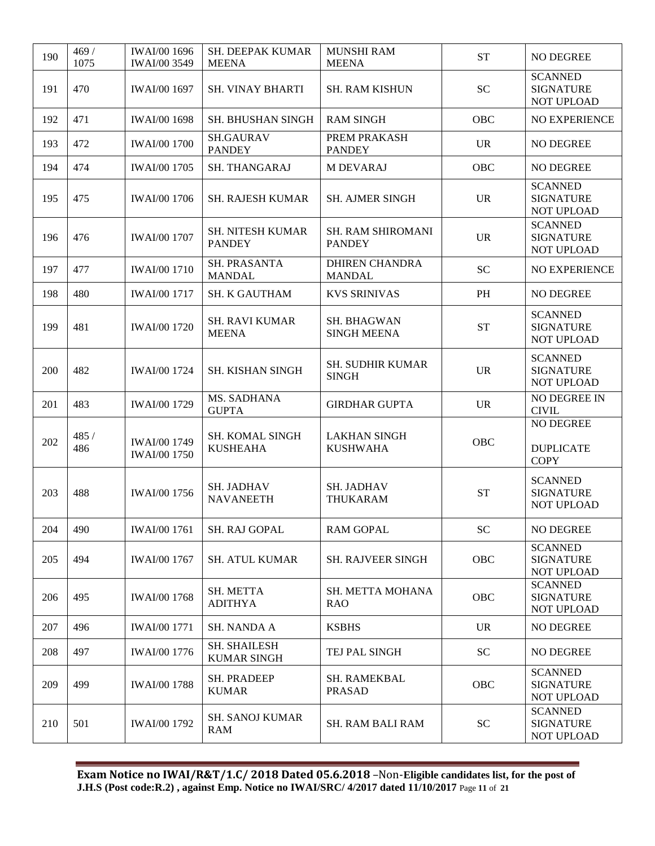| 190 | 469/<br>1075 | <b>IWAI/00 1696</b><br><b>IWAI/00 3549</b> | SH. DEEPAK KUMAR<br><b>MEENA</b>          | <b>MUNSHI RAM</b><br><b>MEENA</b>         | <b>ST</b> | <b>NO DEGREE</b>                                        |
|-----|--------------|--------------------------------------------|-------------------------------------------|-------------------------------------------|-----------|---------------------------------------------------------|
| 191 | 470          | <b>IWAI/00 1697</b>                        | <b>SH. VINAY BHARTI</b>                   | <b>SH. RAM KISHUN</b>                     | <b>SC</b> | <b>SCANNED</b><br><b>SIGNATURE</b><br>NOT UPLOAD        |
| 192 | 471          | <b>IWAI/00 1698</b>                        | SH. BHUSHAN SINGH                         | <b>RAM SINGH</b>                          | OBC       | <b>NO EXPERIENCE</b>                                    |
| 193 | 472          | <b>IWAI/00 1700</b>                        | <b>SH.GAURAV</b><br><b>PANDEY</b>         | PREM PRAKASH<br><b>PANDEY</b>             | <b>UR</b> | NO DEGREE                                               |
| 194 | 474          | <b>IWAI/00 1705</b>                        | SH. THANGARAJ                             | <b>M DEVARAJ</b>                          | OBC       | NO DEGREE                                               |
| 195 | 475          | <b>IWAI/00 1706</b>                        | <b>SH. RAJESH KUMAR</b>                   | <b>SH. AJMER SINGH</b>                    | <b>UR</b> | <b>SCANNED</b><br><b>SIGNATURE</b><br>NOT UPLOAD        |
| 196 | 476          | <b>IWAI/00 1707</b>                        | <b>SH. NITESH KUMAR</b><br><b>PANDEY</b>  | <b>SH. RAM SHIROMANI</b><br><b>PANDEY</b> | <b>UR</b> | <b>SCANNED</b><br><b>SIGNATURE</b><br>NOT UPLOAD        |
| 197 | 477          | <b>IWAI/00 1710</b>                        | SH. PRASANTA<br><b>MANDAL</b>             | <b>DHIREN CHANDRA</b><br><b>MANDAL</b>    | <b>SC</b> | NO EXPERIENCE                                           |
| 198 | 480          | <b>IWAI/00 1717</b>                        | <b>SH. K GAUTHAM</b>                      | <b>KVS SRINIVAS</b>                       | PH        | NO DEGREE                                               |
| 199 | 481          | <b>IWAI/00 1720</b>                        | <b>SH. RAVI KUMAR</b><br><b>MEENA</b>     | <b>SH. BHAGWAN</b><br><b>SINGH MEENA</b>  | <b>ST</b> | <b>SCANNED</b><br><b>SIGNATURE</b><br><b>NOT UPLOAD</b> |
| 200 | 482          | <b>IWAI/00 1724</b>                        | <b>SH. KISHAN SINGH</b>                   | <b>SH. SUDHIR KUMAR</b><br><b>SINGH</b>   | <b>UR</b> | <b>SCANNED</b><br><b>SIGNATURE</b><br>NOT UPLOAD        |
| 201 | 483          | <b>IWAI/00 1729</b>                        | MS. SADHANA<br><b>GUPTA</b>               | <b>GIRDHAR GUPTA</b>                      | <b>UR</b> | NO DEGREE IN<br><b>CIVIL</b>                            |
| 202 | 485 /<br>486 | <b>IWAI/00 1749</b><br><b>IWAI/00 1750</b> | <b>SH. KOMAL SINGH</b><br><b>KUSHEAHA</b> | <b>LAKHAN SINGH</b><br><b>KUSHWAHA</b>    | OBC       | NO DEGREE<br><b>DUPLICATE</b><br><b>COPY</b>            |
| 203 | 488          | <b>IWAI/00 1756</b>                        | <b>SH. JADHAV</b><br><b>NAVANEETH</b>     | <b>SH. JADHAV</b><br>THUKARAM             | <b>ST</b> | <b>SCANNED</b><br><b>SIGNATURE</b><br><b>NOT UPLOAD</b> |
| 204 | 490          | <b>IWAI/00 1761</b>                        | SH. RAJ GOPAL                             | <b>RAM GOPAL</b>                          | <b>SC</b> | NO DEGREE                                               |
| 205 | 494          | <b>IWAI/00 1767</b>                        | <b>SH. ATUL KUMAR</b>                     | <b>SH. RAJVEER SINGH</b>                  | OBC       | <b>SCANNED</b><br><b>SIGNATURE</b><br><b>NOT UPLOAD</b> |
| 206 | 495          | <b>IWAI/00 1768</b>                        | SH. METTA<br><b>ADITHYA</b>               | SH. METTA MOHANA<br><b>RAO</b>            | OBC       | <b>SCANNED</b><br><b>SIGNATURE</b><br>NOT UPLOAD        |
| 207 | 496          | <b>IWAI/00 1771</b>                        | <b>SH. NANDA A</b>                        | <b>KSBHS</b>                              | <b>UR</b> | NO DEGREE                                               |
| 208 | 497          | <b>IWAI/00 1776</b>                        | <b>SH. SHAILESH</b><br><b>KUMAR SINGH</b> | TEJ PAL SINGH                             | <b>SC</b> | NO DEGREE                                               |
| 209 | 499          | <b>IWAI/00 1788</b>                        | <b>SH. PRADEEP</b><br><b>KUMAR</b>        | <b>SH. RAMEKBAL</b><br><b>PRASAD</b>      | OBC       | <b>SCANNED</b><br><b>SIGNATURE</b><br>NOT UPLOAD        |
| 210 | 501          | <b>IWAI/00 1792</b>                        | SH. SANOJ KUMAR<br><b>RAM</b>             | <b>SH. RAM BALI RAM</b>                   | SC        | <b>SCANNED</b><br><b>SIGNATURE</b><br>NOT UPLOAD        |

**Exam Notice no IWAI/R&T/1.C/ 2018 Dated 05.6.2018** –Non-**Eligible candidates list, for the post of J.H.S (Post code:R.2) , against Emp. Notice no IWAI/SRC/ 4/2017 dated 11/10/2017** Page **11** of **21**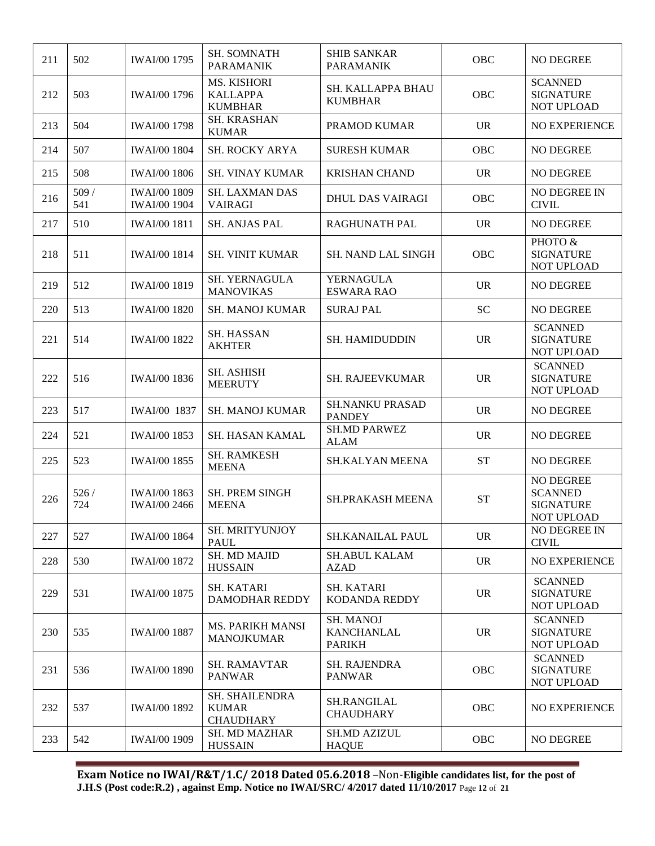| 211 | 502         | <b>IWAI/00 1795</b>                        | <b>SH. SOMNATH</b><br><b>PARAMANIK</b>             | <b>SHIB SANKAR</b><br><b>PARAMANIK</b>                 | OBC        | NO DEGREE                                                            |
|-----|-------------|--------------------------------------------|----------------------------------------------------|--------------------------------------------------------|------------|----------------------------------------------------------------------|
| 212 | 503         | <b>IWAI/00 1796</b>                        | MS. KISHORI<br><b>KALLAPPA</b><br><b>KUMBHAR</b>   | SH. KALLAPPA BHAU<br><b>KUMBHAR</b>                    | OBC        | <b>SCANNED</b><br><b>SIGNATURE</b><br>NOT UPLOAD                     |
| 213 | 504         | <b>IWAI/00 1798</b>                        | SH. KRASHAN<br><b>KUMAR</b>                        | PRAMOD KUMAR                                           | <b>UR</b>  | NO EXPERIENCE                                                        |
| 214 | 507         | <b>IWAI/00 1804</b>                        | SH. ROCKY ARYA                                     | <b>SURESH KUMAR</b>                                    | OBC        | NO DEGREE                                                            |
| 215 | 508         | <b>IWAI/00 1806</b>                        | <b>SH. VINAY KUMAR</b>                             | <b>KRISHAN CHAND</b>                                   | <b>UR</b>  | <b>NO DEGREE</b>                                                     |
| 216 | 509/<br>541 | <b>IWAI/00 1809</b><br><b>IWAI/00 1904</b> | <b>SH. LAXMAN DAS</b><br><b>VAIRAGI</b>            | <b>DHUL DAS VAIRAGI</b>                                | <b>OBC</b> | NO DEGREE IN<br><b>CIVIL</b>                                         |
| 217 | 510         | <b>IWAI/00 1811</b>                        | <b>SH. ANJAS PAL</b>                               | <b>RAGHUNATH PAL</b>                                   | <b>UR</b>  | <b>NO DEGREE</b>                                                     |
| 218 | 511         | <b>IWAI/00 1814</b>                        | <b>SH. VINIT KUMAR</b>                             | <b>SH. NAND LAL SINGH</b>                              | OBC        | PHOTO &<br><b>SIGNATURE</b><br>NOT UPLOAD                            |
| 219 | 512         | <b>IWAI/00 1819</b>                        | SH. YERNAGULA<br><b>MANOVIKAS</b>                  | <b>YERNAGULA</b><br><b>ESWARA RAO</b>                  | <b>UR</b>  | NO DEGREE                                                            |
| 220 | 513         | <b>IWAI/00 1820</b>                        | <b>SH. MANOJ KUMAR</b>                             | <b>SURAJ PAL</b>                                       | <b>SC</b>  | NO DEGREE                                                            |
| 221 | 514         | <b>IWAI/00 1822</b>                        | <b>SH. HASSAN</b><br><b>AKHTER</b>                 | SH. HAMIDUDDIN                                         | <b>UR</b>  | <b>SCANNED</b><br><b>SIGNATURE</b><br>NOT UPLOAD                     |
| 222 | 516         | <b>IWAI/00 1836</b>                        | <b>SH. ASHISH</b><br><b>MEERUTY</b>                | SH. RAJEEVKUMAR                                        | <b>UR</b>  | <b>SCANNED</b><br><b>SIGNATURE</b><br>NOT UPLOAD                     |
| 223 | 517         | IWAI/00 1837                               | <b>SH. MANOJ KUMAR</b>                             | <b>SH.NANKU PRASAD</b><br><b>PANDEY</b>                | <b>UR</b>  | NO DEGREE                                                            |
| 224 | 521         | <b>IWAI/00 1853</b>                        | <b>SH. HASAN KAMAL</b>                             | <b>SH.MD PARWEZ</b><br><b>ALAM</b>                     | <b>UR</b>  | NO DEGREE                                                            |
| 225 | 523         | <b>IWAI/00 1855</b>                        | <b>SH. RAMKESH</b><br><b>MEENA</b>                 | <b>SH.KALYAN MEENA</b>                                 | <b>ST</b>  | NO DEGREE                                                            |
| 226 | 526/<br>724 | <b>IWAI/00 1863</b><br><b>IWAI/00 2466</b> | SH. PREM SINGH<br><b>MEENA</b>                     | SH.PRAKASH MEENA                                       | <b>ST</b>  | NO DEGREE<br><b>SCANNED</b><br><b>SIGNATURE</b><br><b>NOT UPLOAD</b> |
| 227 | 527         | <b>IWAI/00 1864</b>                        | SH. MRITYUNJOY<br><b>PAUL</b>                      | <b>SH.KANAILAL PAUL</b>                                | <b>UR</b>  | NO DEGREE IN<br><b>CIVIL</b>                                         |
| 228 | 530         | <b>IWAI/00 1872</b>                        | SH. MD MAJID<br><b>HUSSAIN</b>                     | <b>SH.ABUL KALAM</b><br><b>AZAD</b>                    | <b>UR</b>  | NO EXPERIENCE                                                        |
| 229 | 531         | <b>IWAI/00 1875</b>                        | <b>SH. KATARI</b><br><b>DAMODHAR REDDY</b>         | <b>SH. KATARI</b><br>KODANDA REDDY                     | <b>UR</b>  | <b>SCANNED</b><br><b>SIGNATURE</b><br>NOT UPLOAD                     |
| 230 | 535         | <b>IWAI/00 1887</b>                        | <b>MS. PARIKH MANSI</b><br><b>MANOJKUMAR</b>       | <b>SH. MANOJ</b><br><b>KANCHANLAL</b><br><b>PARIKH</b> | <b>UR</b>  | <b>SCANNED</b><br><b>SIGNATURE</b><br>NOT UPLOAD                     |
| 231 | 536         | <b>IWAI/00 1890</b>                        | <b>SH. RAMAVTAR</b><br><b>PANWAR</b>               | <b>SH. RAJENDRA</b><br><b>PANWAR</b>                   | OBC        | <b>SCANNED</b><br><b>SIGNATURE</b><br>NOT UPLOAD                     |
| 232 | 537         | <b>IWAI/00 1892</b>                        | SH. SHAILENDRA<br><b>KUMAR</b><br><b>CHAUDHARY</b> | SH.RANGILAL<br><b>CHAUDHARY</b>                        | <b>OBC</b> | NO EXPERIENCE                                                        |
| 233 | 542         | <b>IWAI/00 1909</b>                        | <b>SH. MD MAZHAR</b><br><b>HUSSAIN</b>             | <b>SH.MD AZIZUL</b><br><b>HAQUE</b>                    | <b>OBC</b> | NO DEGREE                                                            |

**Exam Notice no IWAI/R&T/1.C/ 2018 Dated 05.6.2018** –Non-**Eligible candidates list, for the post of J.H.S (Post code:R.2) , against Emp. Notice no IWAI/SRC/ 4/2017 dated 11/10/2017** Page **12** of **21**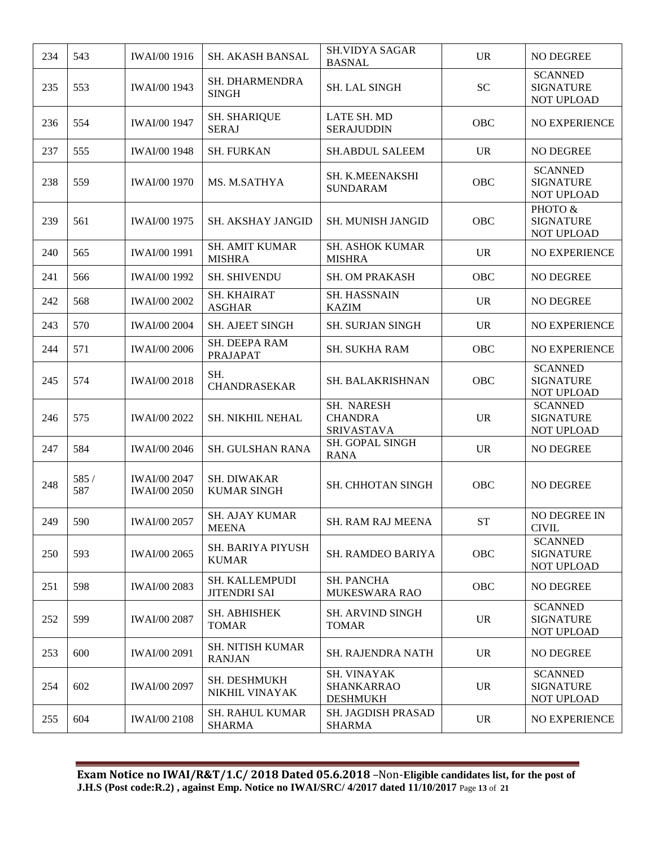| 234 | 543          | <b>IWAI/00 1916</b>                        | <b>SH. AKASH BANSAL</b>                      | <b>SH.VIDYA SAGAR</b><br><b>BASNAL</b>                     | <b>UR</b> | <b>NO DEGREE</b>                                 |
|-----|--------------|--------------------------------------------|----------------------------------------------|------------------------------------------------------------|-----------|--------------------------------------------------|
| 235 | 553          | <b>IWAI/00 1943</b>                        | SH. DHARMENDRA<br><b>SINGH</b>               | <b>SH. LAL SINGH</b>                                       | <b>SC</b> | <b>SCANNED</b><br><b>SIGNATURE</b><br>NOT UPLOAD |
| 236 | 554          | <b>IWAI/00 1947</b>                        | <b>SH. SHARIQUE</b><br><b>SERAJ</b>          | LATE SH. MD<br><b>SERAJUDDIN</b>                           | OBC       | <b>NO EXPERIENCE</b>                             |
| 237 | 555          | <b>IWAI/00 1948</b>                        | <b>SH. FURKAN</b>                            | <b>SH.ABDUL SALEEM</b>                                     | <b>UR</b> | <b>NO DEGREE</b>                                 |
| 238 | 559          | <b>IWAI/00 1970</b>                        | MS. M.SATHYA                                 | SH. K.MEENAKSHI<br><b>SUNDARAM</b>                         | OBC       | <b>SCANNED</b><br><b>SIGNATURE</b><br>NOT UPLOAD |
| 239 | 561          | <b>IWAI/00 1975</b>                        | <b>SH. AKSHAY JANGID</b>                     | <b>SH. MUNISH JANGID</b>                                   | OBC       | PHOTO &<br><b>SIGNATURE</b><br>NOT UPLOAD        |
| 240 | 565          | <b>IWAI/00 1991</b>                        | <b>SH. AMIT KUMAR</b><br><b>MISHRA</b>       | <b>SH. ASHOK KUMAR</b><br><b>MISHRA</b>                    | <b>UR</b> | NO EXPERIENCE                                    |
| 241 | 566          | <b>IWAI/00 1992</b>                        | <b>SH. SHIVENDU</b>                          | SH. OM PRAKASH                                             | OBC       | NO DEGREE                                        |
| 242 | 568          | <b>IWAI/00 2002</b>                        | SH. KHAIRAT<br><b>ASGHAR</b>                 | <b>SH. HASSNAIN</b><br><b>KAZIM</b>                        | <b>UR</b> | <b>NO DEGREE</b>                                 |
| 243 | 570          | <b>IWAI/00 2004</b>                        | SH. AJEET SINGH                              | <b>SH. SURJAN SINGH</b>                                    | <b>UR</b> | <b>NO EXPERIENCE</b>                             |
| 244 | 571          | <b>IWAI/00 2006</b>                        | SH. DEEPA RAM<br><b>PRAJAPAT</b>             | SH. SUKHA RAM                                              | OBC       | <b>NO EXPERIENCE</b>                             |
| 245 | 574          | <b>IWAI/00 2018</b>                        | SH.<br><b>CHANDRASEKAR</b>                   | SH. BALAKRISHNAN                                           | OBC       | <b>SCANNED</b><br><b>SIGNATURE</b><br>NOT UPLOAD |
| 246 | 575          | <b>IWAI/00 2022</b>                        | SH. NIKHIL NEHAL                             | SH. NARESH<br><b>CHANDRA</b><br>SRIVASTAVA                 | <b>UR</b> | <b>SCANNED</b><br><b>SIGNATURE</b><br>NOT UPLOAD |
| 247 | 584          | <b>IWAI/00 2046</b>                        | SH. GULSHAN RANA                             | SH. GOPAL SINGH<br><b>RANA</b>                             | <b>UR</b> | NO DEGREE                                        |
| 248 | 585 /<br>587 | <b>IWAI/00 2047</b><br><b>IWAI/00 2050</b> | SH. DIWAKAR<br><b>KUMAR SINGH</b>            | SH. CHHOTAN SINGH                                          | OBC       | NO DEGREE                                        |
| 249 | 590          | <b>IWAI/00 2057</b>                        | <b>SH. AJAY KUMAR</b><br><b>MEENA</b>        | SH. RAM RAJ MEENA                                          | ST        | NO DEGREE IN<br><b>CIVIL</b>                     |
| 250 | 593          | <b>IWAI/00 2065</b>                        | SH. BARIYA PIYUSH<br><b>KUMAR</b>            | SH. RAMDEO BARIYA                                          | OBC       | <b>SCANNED</b><br><b>SIGNATURE</b><br>NOT UPLOAD |
| 251 | 598          | <b>IWAI/00 2083</b>                        | <b>SH. KALLEMPUDI</b><br><b>JITENDRI SAI</b> | <b>SH. PANCHA</b><br>MUKESWARA RAO                         | OBC       | NO DEGREE                                        |
| 252 | 599          | <b>IWAI/00 2087</b>                        | SH. ABHISHEK<br><b>TOMAR</b>                 | <b>SH. ARVIND SINGH</b><br><b>TOMAR</b>                    | <b>UR</b> | <b>SCANNED</b><br><b>SIGNATURE</b><br>NOT UPLOAD |
| 253 | 600          | <b>IWAI/00 2091</b>                        | <b>SH. NITISH KUMAR</b><br><b>RANJAN</b>     | <b>SH. RAJENDRA NATH</b>                                   | <b>UR</b> | <b>NO DEGREE</b>                                 |
| 254 | 602          | <b>IWAI/00 2097</b>                        | <b>SH. DESHMUKH</b><br>NIKHIL VINAYAK        | <b>SH. VINAYAK</b><br><b>SHANKARRAO</b><br><b>DESHMUKH</b> | <b>UR</b> | <b>SCANNED</b><br><b>SIGNATURE</b><br>NOT UPLOAD |
| 255 | 604          | <b>IWAI/00 2108</b>                        | <b>SH. RAHUL KUMAR</b><br><b>SHARMA</b>      | SH. JAGDISH PRASAD<br><b>SHARMA</b>                        | <b>UR</b> | NO EXPERIENCE                                    |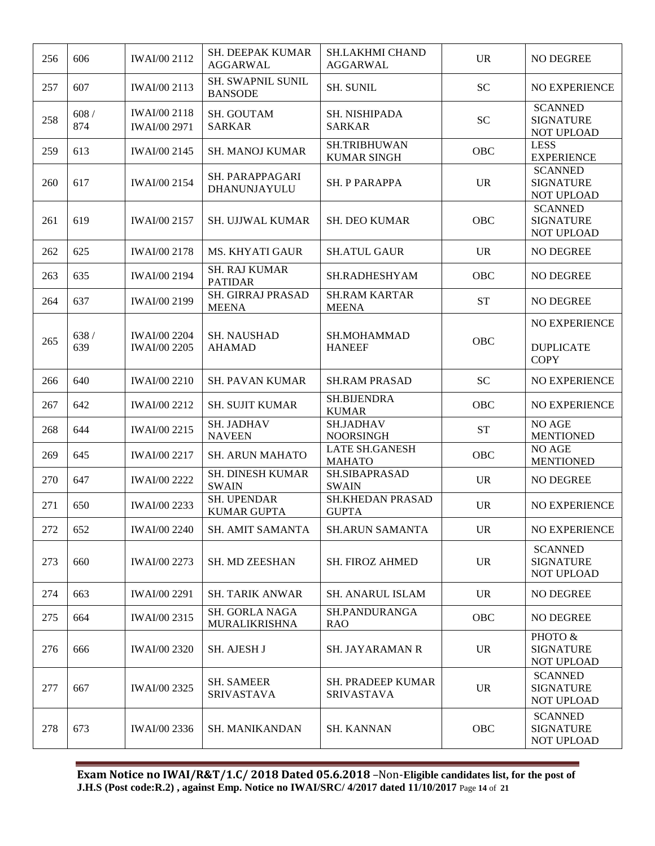| 256 | 606           | <b>IWAI/00 2112</b>                        | <b>SH. DEEPAK KUMAR</b><br><b>AGGARWAL</b> | <b>SH.LAKHMI CHAND</b><br>AGGARWAL        | <b>UR</b>  | NO DEGREE                                        |
|-----|---------------|--------------------------------------------|--------------------------------------------|-------------------------------------------|------------|--------------------------------------------------|
| 257 | 607           | <b>IWAI/00 2113</b>                        | <b>SH. SWAPNIL SUNIL</b><br><b>BANSODE</b> | <b>SH. SUNIL</b>                          | <b>SC</b>  | <b>NO EXPERIENCE</b>                             |
| 258 | $608/$<br>874 | <b>IWAI/00 2118</b><br><b>IWAI/00 2971</b> | SH. GOUTAM<br><b>SARKAR</b>                | <b>SH. NISHIPADA</b><br><b>SARKAR</b>     | <b>SC</b>  | <b>SCANNED</b><br><b>SIGNATURE</b><br>NOT UPLOAD |
| 259 | 613           | IWAI/00 2145                               | <b>SH. MANOJ KUMAR</b>                     | <b>SH.TRIBHUWAN</b><br><b>KUMAR SINGH</b> | OBC        | <b>LESS</b><br><b>EXPERIENCE</b>                 |
| 260 | 617           | <b>IWAI/00 2154</b>                        | SH. PARAPPAGARI<br>DHANUNJAYULU            | SH. P PARAPPA                             | <b>UR</b>  | <b>SCANNED</b><br><b>SIGNATURE</b><br>NOT UPLOAD |
| 261 | 619           | <b>IWAI/00 2157</b>                        | <b>SH. UJJWAL KUMAR</b>                    | <b>SH. DEO KUMAR</b>                      | OBC        | <b>SCANNED</b><br><b>SIGNATURE</b><br>NOT UPLOAD |
| 262 | 625           | <b>IWAI/00 2178</b>                        | <b>MS. KHYATI GAUR</b>                     | <b>SH.ATUL GAUR</b>                       | <b>UR</b>  | NO DEGREE                                        |
| 263 | 635           | <b>IWAI/00 2194</b>                        | <b>SH. RAJ KUMAR</b><br><b>PATIDAR</b>     | SH.RADHESHYAM                             | OBC        | <b>NO DEGREE</b>                                 |
| 264 | 637           | <b>IWAI/00 2199</b>                        | SH. GIRRAJ PRASAD<br><b>MEENA</b>          | <b>SH.RAM KARTAR</b><br><b>MEENA</b>      | <b>ST</b>  | <b>NO DEGREE</b>                                 |
| 265 | 638/<br>639   | <b>IWAI/00 2204</b><br><b>IWAI/00 2205</b> | <b>SH. NAUSHAD</b><br><b>AHAMAD</b>        | SH.MOHAMMAD<br><b>HANEEF</b>              | OBC        | NO EXPERIENCE<br><b>DUPLICATE</b><br><b>COPY</b> |
| 266 | 640           | <b>IWAI/00 2210</b>                        | <b>SH. PAVAN KUMAR</b>                     | <b>SH.RAM PRASAD</b>                      | <b>SC</b>  | NO EXPERIENCE                                    |
| 267 | 642           | <b>IWAI/00 2212</b>                        | <b>SH. SUJIT KUMAR</b>                     | SH.BIJENDRA<br><b>KUMAR</b>               | OBC        | NO EXPERIENCE                                    |
| 268 | 644           | <b>IWAI/00 2215</b>                        | <b>SH. JADHAV</b><br><b>NAVEEN</b>         | <b>SH.JADHAV</b><br><b>NOORSINGH</b>      | <b>ST</b>  | NO AGE<br><b>MENTIONED</b>                       |
| 269 | 645           | <b>IWAI/00 2217</b>                        | <b>SH. ARUN MAHATO</b>                     | <b>LATE SH.GANESH</b><br><b>MAHATO</b>    | <b>OBC</b> | NO AGE<br><b>MENTIONED</b>                       |
| 270 | 647           | <b>IWAI/00 2222</b>                        | <b>SH. DINESH KUMAR</b><br><b>SWAIN</b>    | SH.SIBAPRASAD<br><b>SWAIN</b>             | <b>UR</b>  | NO DEGREE                                        |
| 271 | 650           | IWAI/00 2233                               | SH. UPENDAR<br><b>KUMAR GUPTA</b>          | <b>SH.KHEDAN PRASAD</b><br><b>GUPTA</b>   | <b>UR</b>  | <b>NO EXPERIENCE</b>                             |
| 272 | 652           | <b>IWAI/00 2240</b>                        | SH. AMIT SAMANTA                           | <b>SH.ARUN SAMANTA</b>                    | <b>UR</b>  | NO EXPERIENCE                                    |
| 273 | 660           | <b>IWAI/00 2273</b>                        | SH. MD ZEESHAN                             | <b>SH. FIROZ AHMED</b>                    | <b>UR</b>  | <b>SCANNED</b><br><b>SIGNATURE</b><br>NOT UPLOAD |
| 274 | 663           | <b>IWAI/00 2291</b>                        | <b>SH. TARIK ANWAR</b>                     | <b>SH. ANARUL ISLAM</b>                   | <b>UR</b>  | NO DEGREE                                        |
| 275 | 664           | IWAI/00 2315                               | SH. GORLA NAGA<br><b>MURALIKRISHNA</b>     | SH.PANDURANGA<br><b>RAO</b>               | <b>OBC</b> | NO DEGREE                                        |
| 276 | 666           | <b>IWAI/00 2320</b>                        | SH. AJESH J                                | <b>SH. JAYARAMAN R</b>                    | <b>UR</b>  | PHOTO &<br><b>SIGNATURE</b><br>NOT UPLOAD        |
| 277 | 667           | <b>IWAI/00 2325</b>                        | <b>SH. SAMEER</b><br><b>SRIVASTAVA</b>     | SH. PRADEEP KUMAR<br><b>SRIVASTAVA</b>    | <b>UR</b>  | <b>SCANNED</b><br><b>SIGNATURE</b><br>NOT UPLOAD |
| 278 | 673           | <b>IWAI/00 2336</b>                        | SH. MANIKANDAN                             | <b>SH. KANNAN</b>                         | OBC        | <b>SCANNED</b><br><b>SIGNATURE</b><br>NOT UPLOAD |

**Exam Notice no IWAI/R&T/1.C/ 2018 Dated 05.6.2018** –Non-**Eligible candidates list, for the post of J.H.S (Post code:R.2) , against Emp. Notice no IWAI/SRC/ 4/2017 dated 11/10/2017** Page **14** of **21**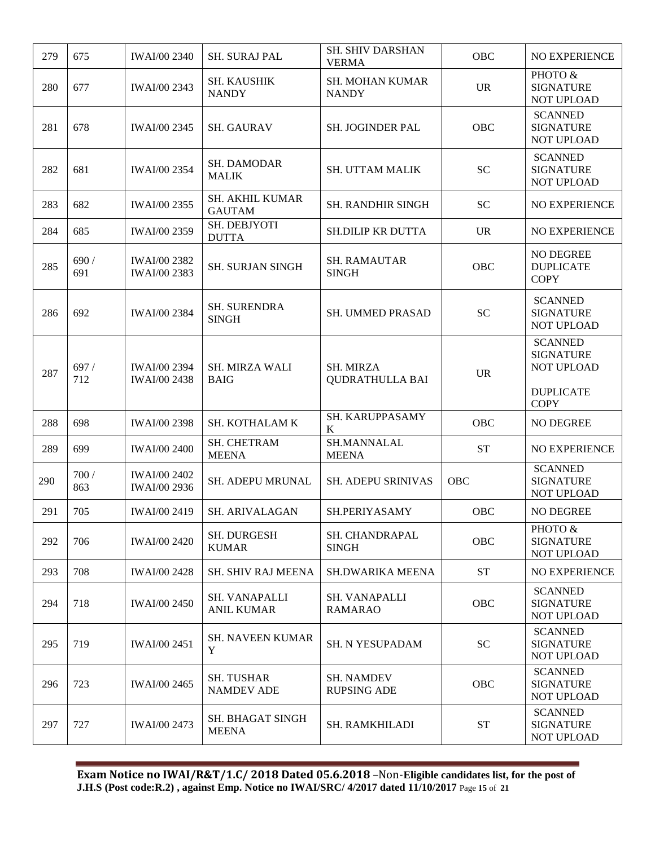| 279 | 675          | <b>IWAI/00 2340</b>                        | <b>SH. SURAJ PAL</b>                      | <b>SH. SHIV DARSHAN</b><br><b>VERMA</b>    | <b>OBC</b>         | <b>NO EXPERIENCE</b>                                                 |
|-----|--------------|--------------------------------------------|-------------------------------------------|--------------------------------------------|--------------------|----------------------------------------------------------------------|
| 280 | 677          | IWAI/00 2343                               | <b>SH. KAUSHIK</b><br><b>NANDY</b>        | <b>SH. MOHAN KUMAR</b><br><b>NANDY</b>     | <b>UR</b>          | PHOTO &<br><b>SIGNATURE</b><br>NOT UPLOAD                            |
| 281 | 678          | <b>IWAI/00 2345</b>                        | <b>SH. GAURAV</b>                         | SH. JOGINDER PAL                           | OBC                | <b>SCANNED</b><br><b>SIGNATURE</b><br>NOT UPLOAD                     |
| 282 | 681          | <b>IWAI/00 2354</b>                        | SH. DAMODAR<br><b>MALIK</b>               | <b>SH. UTTAM MALIK</b>                     | <b>SC</b>          | <b>SCANNED</b><br><b>SIGNATURE</b><br>NOT UPLOAD                     |
| 283 | 682          | IWAI/00 2355                               | <b>SH. AKHIL KUMAR</b><br><b>GAUTAM</b>   | <b>SH. RANDHIR SINGH</b>                   | <b>SC</b>          | <b>NO EXPERIENCE</b>                                                 |
| 284 | 685          | IWAI/00 2359                               | SH. DEBJYOTI<br><b>DUTTA</b>              | SH.DILIP KR DUTTA                          | <b>UR</b>          | <b>NO EXPERIENCE</b>                                                 |
| 285 | 690 /<br>691 | <b>IWAI/00 2382</b><br>IWAI/00 2383        | <b>SH. SURJAN SINGH</b>                   | <b>SH. RAMAUTAR</b><br><b>SINGH</b>        | <b>OBC</b>         | NO DEGREE<br><b>DUPLICATE</b><br><b>COPY</b>                         |
| 286 | 692          | <b>IWAI/00 2384</b>                        | <b>SH. SURENDRA</b><br><b>SINGH</b>       | SH. UMMED PRASAD                           | <b>SC</b>          | <b>SCANNED</b><br><b>SIGNATURE</b><br>NOT UPLOAD                     |
| 287 | 697/<br>712  | <b>IWAI/00 2394</b><br><b>IWAI/00 2438</b> | <b>SH. MIRZA WALI</b><br><b>BAIG</b>      | <b>SH. MIRZA</b><br><b>QUDRATHULLA BAI</b> | <b>UR</b>          | <b>SCANNED</b><br><b>SIGNATURE</b><br>NOT UPLOAD<br><b>DUPLICATE</b> |
| 288 | 698          | <b>IWAI/00 2398</b>                        | SH. KOTHALAM K                            | SH. KARUPPASAMY<br>K                       | OBC                | <b>COPY</b><br>NO DEGREE                                             |
| 289 | 699          | <b>IWAI/00 2400</b>                        | SH. CHETRAM<br><b>MEENA</b>               | SH.MANNALAL<br><b>MEENA</b>                | <b>ST</b>          | <b>NO EXPERIENCE</b>                                                 |
| 290 | 700 /<br>863 | <b>IWAI/00 2402</b><br>IWAI/00 2936        | SH. ADEPU MRUNAL                          | SH. ADEPU SRINIVAS                         | OBC                | <b>SCANNED</b><br><b>SIGNATURE</b><br>NOT UPLOAD                     |
| 291 | 705          | <b>IWAI/00 2419</b>                        | SH. ARIVALAGAN                            | SH.PERIYASAMY                              | OBC                | NO DEGREE                                                            |
| 292 | 706          | <b>IWAI/00 2420</b>                        | <b>SH. DURGESH</b><br><b>KUMAR</b>        | SH. CHANDRAPAL<br><b>SINGH</b>             | OBC                | PHOTO &<br><b>SIGNATURE</b><br><b>NOT UPLOAD</b>                     |
| 293 | 708          | <b>IWAI/00 2428</b>                        | <b>SH. SHIV RAJ MEENA</b>                 | <b>SH.DWARIKA MEENA</b>                    | <b>ST</b>          | NO EXPERIENCE                                                        |
| 294 | 718          | <b>IWAI/00 2450</b>                        | <b>SH. VANAPALLI</b><br><b>ANIL KUMAR</b> | <b>SH. VANAPALLI</b><br><b>RAMARAO</b>     | OBC                | <b>SCANNED</b><br><b>SIGNATURE</b><br>NOT UPLOAD                     |
| 295 | 719          | <b>IWAI/00 2451</b>                        | <b>SH. NAVEEN KUMAR</b><br>$\mathbf Y$    | SH. N YESUPADAM                            | <b>SC</b>          | <b>SCANNED</b><br><b>SIGNATURE</b><br>NOT UPLOAD                     |
| 296 | 723          | <b>IWAI/00 2465</b>                        | <b>SH. TUSHAR</b><br><b>NAMDEV ADE</b>    | <b>SH. NAMDEV</b><br><b>RUPSING ADE</b>    | OBC                | <b>SCANNED</b><br><b>SIGNATURE</b><br>NOT UPLOAD                     |
| 297 | 727          | <b>IWAI/00 2473</b>                        | SH. BHAGAT SINGH<br><b>MEENA</b>          | <b>SH. RAMKHILADI</b>                      | ${\cal S}{\cal T}$ | <b>SCANNED</b><br><b>SIGNATURE</b><br>NOT UPLOAD                     |

**Exam Notice no IWAI/R&T/1.C/ 2018 Dated 05.6.2018** –Non-**Eligible candidates list, for the post of J.H.S (Post code:R.2) , against Emp. Notice no IWAI/SRC/ 4/2017 dated 11/10/2017** Page **15** of **21**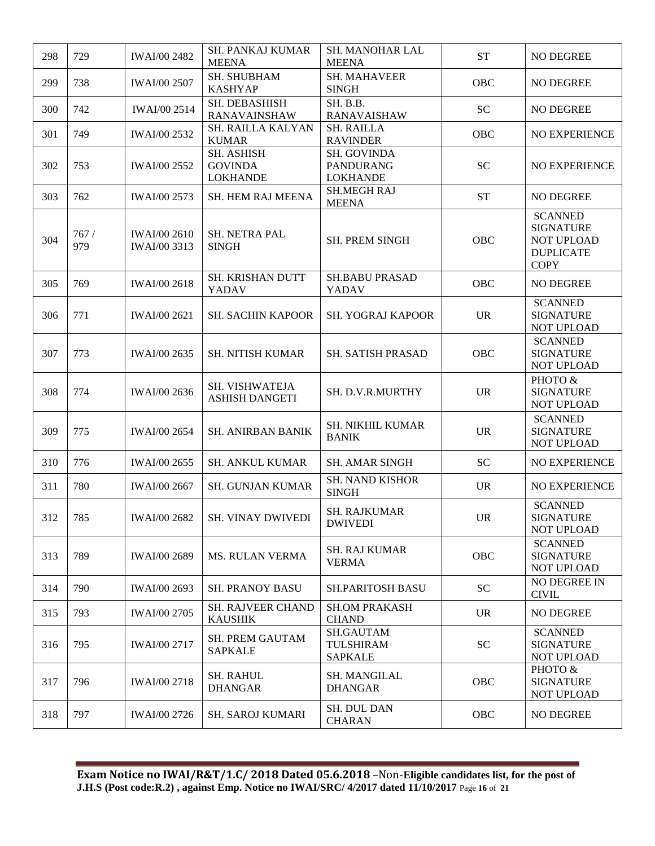| 298 | 729         | <b>IWAI/00 2482</b>                        | <b>SH. PANKAJ KUMAR</b><br><b>MEENA</b>         | <b>SH. MANOHAR LAL</b><br><b>MEENA</b>             | <b>ST</b>  | NO DEGREE                                                                           |
|-----|-------------|--------------------------------------------|-------------------------------------------------|----------------------------------------------------|------------|-------------------------------------------------------------------------------------|
| 299 | 738         | <b>IWAI/00 2507</b>                        | SH. SHUBHAM<br><b>KASHYAP</b>                   | <b>SH. MAHAVEER</b><br><b>SINGH</b>                | OBC        | NO DEGREE                                                                           |
| 300 | 742         | <b>IWAI/00 2514</b>                        | SH. DEBASHISH<br><b>RANAVAINSHAW</b>            | SH. B.B.<br><b>RANAVAISHAW</b>                     | <b>SC</b>  | <b>NO DEGREE</b>                                                                    |
| 301 | 749         | <b>IWAI/00 2532</b>                        | SH. RAILLA KALYAN<br><b>KUMAR</b>               | <b>SH. RAILLA</b><br><b>RAVINDER</b>               | OBC        | <b>NO EXPERIENCE</b>                                                                |
| 302 | 753         | <b>IWAI/00 2552</b>                        | SH. ASHISH<br><b>GOVINDA</b><br><b>LOKHANDE</b> | SH. GOVINDA<br><b>PANDURANG</b><br><b>LOKHANDE</b> | <b>SC</b>  | <b>NO EXPERIENCE</b>                                                                |
| 303 | 762         | <b>IWAI/00 2573</b>                        | SH. HEM RAJ MEENA                               | <b>SH.MEGH RAJ</b><br><b>MEENA</b>                 | <b>ST</b>  | NO DEGREE                                                                           |
| 304 | 767/<br>979 | <b>IWAI/00 2610</b><br><b>IWAI/00 3313</b> | SH. NETRA PAL<br><b>SINGH</b>                   | <b>SH. PREM SINGH</b>                              | OBC        | <b>SCANNED</b><br><b>SIGNATURE</b><br>NOT UPLOAD<br><b>DUPLICATE</b><br><b>COPY</b> |
| 305 | 769         | <b>IWAI/00 2618</b>                        | SH. KRISHAN DUTT<br>YADAV                       | <b>SH.BABU PRASAD</b><br>YADAV                     | OBC        | NO DEGREE                                                                           |
| 306 | 771         | <b>IWAI/00 2621</b>                        | <b>SH. SACHIN KAPOOR</b>                        | <b>SH. YOGRAJ KAPOOR</b>                           | <b>UR</b>  | <b>SCANNED</b><br><b>SIGNATURE</b><br><b>NOT UPLOAD</b>                             |
| 307 | 773         | IWAI/00 2635                               | <b>SH. NITISH KUMAR</b>                         | SH. SATISH PRASAD                                  | <b>OBC</b> | <b>SCANNED</b><br><b>SIGNATURE</b><br>NOT UPLOAD                                    |
| 308 | 774         | <b>IWAI/00 2636</b>                        | SH. VISHWATEJA<br><b>ASHISH DANGETI</b>         | SH. D.V.R.MURTHY                                   | <b>UR</b>  | PHOTO &<br><b>SIGNATURE</b><br>NOT UPLOAD                                           |
| 309 | 775         | <b>IWAI/00 2654</b>                        | <b>SH. ANIRBAN BANIK</b>                        | <b>SH. NIKHIL KUMAR</b><br><b>BANIK</b>            | <b>UR</b>  | <b>SCANNED</b><br><b>SIGNATURE</b><br><b>NOT UPLOAD</b>                             |
| 310 | 776         | IWAI/00 2655                               | <b>SH. ANKUL KUMAR</b>                          | <b>SH. AMAR SINGH</b>                              | <b>SC</b>  | NO EXPERIENCE                                                                       |
| 311 | 780         | <b>IWAI/00 2667</b>                        | SH. GUNJAN KUMAR                                | <b>SH. NAND KISHOR</b><br><b>SINGH</b>             | <b>UR</b>  | <b>NO EXPERIENCE</b>                                                                |
| 312 | 785         | <b>IWAI/00 2682</b>                        | <b>SH. VINAY DWIVEDI</b>                        | <b>SH. RAJKUMAR</b><br><b>DWIVEDI</b>              | <b>UR</b>  | <b>SCANNED</b><br><b>SIGNATURE</b><br>NOT UPLOAD                                    |
| 313 | 789         | <b>IWAI/00 2689</b>                        | <b>MS. RULAN VERMA</b>                          | <b>SH. RAJ KUMAR</b><br><b>VERMA</b>               | OBC        | <b>SCANNED</b><br><b>SIGNATURE</b><br>NOT UPLOAD                                    |
| 314 | 790         | IWAI/00 2693                               | <b>SH. PRANOY BASU</b>                          | <b>SH.PARITOSH BASU</b>                            | <b>SC</b>  | NO DEGREE IN<br><b>CIVIL</b>                                                        |
| 315 | 793         | <b>IWAI/00 2705</b>                        | <b>SH. RAJVEER CHAND</b><br><b>KAUSHIK</b>      | <b>SH.OM PRAKASH</b><br><b>CHAND</b>               | <b>UR</b>  | NO DEGREE                                                                           |
| 316 | 795         | IWAI/00 2717                               | <b>SH. PREM GAUTAM</b><br><b>SAPKALE</b>        | SH.GAUTAM<br><b>TULSHIRAM</b><br><b>SAPKALE</b>    | <b>SC</b>  | <b>SCANNED</b><br><b>SIGNATURE</b><br>NOT UPLOAD                                    |
| 317 | 796         | <b>IWAI/00 2718</b>                        | <b>SH. RAHUL</b><br><b>DHANGAR</b>              | <b>SH. MANGILAL</b><br><b>DHANGAR</b>              | OBC        | PHOTO &<br><b>SIGNATURE</b><br>NOT UPLOAD                                           |
| 318 | 797         | <b>IWAI/00 2726</b>                        | <b>SH. SAROJ KUMARI</b>                         | SH. DUL DAN<br><b>CHARAN</b>                       | OBC        | NO DEGREE                                                                           |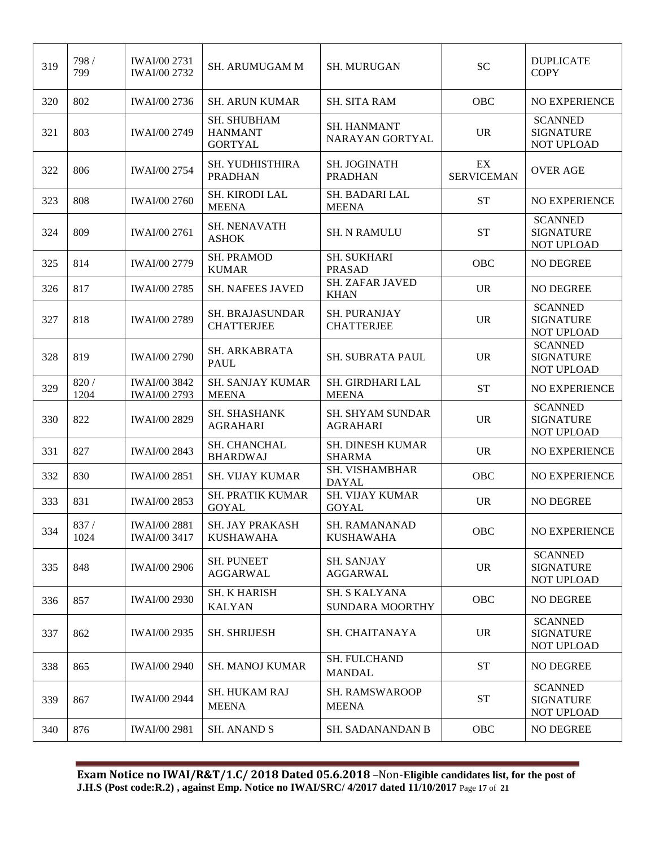| 319 | 798 /<br>799  | IWAI/00 2731<br><b>IWAI/00 2732</b>        | <b>SH. ARUMUGAM M</b>                           | <b>SH. MURUGAN</b>                         | <b>SC</b>               | <b>DUPLICATE</b><br><b>COPY</b>                         |
|-----|---------------|--------------------------------------------|-------------------------------------------------|--------------------------------------------|-------------------------|---------------------------------------------------------|
| 320 | 802           | IWAI/00 2736                               | <b>SH. ARUN KUMAR</b>                           | <b>SH. SITA RAM</b>                        | OBC                     | NO EXPERIENCE                                           |
| 321 | 803           | <b>IWAI/00 2749</b>                        | SH. SHUBHAM<br><b>HANMANT</b><br><b>GORTYAL</b> | <b>SH. HANMANT</b><br>NARAYAN GORTYAL      | <b>UR</b>               | <b>SCANNED</b><br><b>SIGNATURE</b><br><b>NOT UPLOAD</b> |
| 322 | 806           | <b>IWAI/00 2754</b>                        | SH. YUDHISTHIRA<br><b>PRADHAN</b>               | SH. JOGINATH<br><b>PRADHAN</b>             | EX<br><b>SERVICEMAN</b> | <b>OVER AGE</b>                                         |
| 323 | 808           | <b>IWAI/00 2760</b>                        | SH. KIRODI LAL<br><b>MEENA</b>                  | SH. BADARI LAL<br><b>MEENA</b>             | <b>ST</b>               | NO EXPERIENCE                                           |
| 324 | 809           | <b>IWAI/00 2761</b>                        | <b>SH. NENAVATH</b><br><b>ASHOK</b>             | <b>SH. N RAMULU</b>                        | <b>ST</b>               | <b>SCANNED</b><br><b>SIGNATURE</b><br>NOT UPLOAD        |
| 325 | 814           | <b>IWAI/00 2779</b>                        | <b>SH. PRAMOD</b><br><b>KUMAR</b>               | <b>SH. SUKHARI</b><br><b>PRASAD</b>        | OBC                     | NO DEGREE                                               |
| 326 | 817           | <b>IWAI/00 2785</b>                        | <b>SH. NAFEES JAVED</b>                         | <b>SH. ZAFAR JAVED</b><br><b>KHAN</b>      | <b>UR</b>               | <b>NO DEGREE</b>                                        |
| 327 | 818           | <b>IWAI/00 2789</b>                        | <b>SH. BRAJASUNDAR</b><br><b>CHATTERJEE</b>     | SH. PURANJAY<br><b>CHATTERJEE</b>          | <b>UR</b>               | <b>SCANNED</b><br><b>SIGNATURE</b><br><b>NOT UPLOAD</b> |
| 328 | 819           | <b>IWAI/00 2790</b>                        | SH. ARKABRATA<br><b>PAUL</b>                    | SH. SUBRATA PAUL                           | <b>UR</b>               | <b>SCANNED</b><br><b>SIGNATURE</b><br>NOT UPLOAD        |
| 329 | 820 /<br>1204 | <b>IWAI/00 3842</b><br>IWAI/00 2793        | <b>SH. SANJAY KUMAR</b><br><b>MEENA</b>         | SH. GIRDHARI LAL<br><b>MEENA</b>           | <b>ST</b>               | NO EXPERIENCE                                           |
| 330 | 822           | <b>IWAI/00 2829</b>                        | SH. SHASHANK<br><b>AGRAHARI</b>                 | <b>SH. SHYAM SUNDAR</b><br><b>AGRAHARI</b> | <b>UR</b>               | <b>SCANNED</b><br><b>SIGNATURE</b><br>NOT UPLOAD        |
| 331 | 827           | <b>IWAI/00 2843</b>                        | SH. CHANCHAL<br><b>BHARDWAJ</b>                 | SH. DINESH KUMAR<br><b>SHARMA</b>          | <b>UR</b>               | NO EXPERIENCE                                           |
| 332 | 830           | <b>IWAI/00 2851</b>                        | <b>SH. VIJAY KUMAR</b>                          | SH. VISHAMBHAR<br><b>DAYAL</b>             | OBC                     | NO EXPERIENCE                                           |
| 333 | 831           | IWAI/00 2853                               | <b>SH. PRATIK KUMAR</b><br><b>GOYAL</b>         | <b>SH. VIJAY KUMAR</b><br><b>GOYAL</b>     | <b>UR</b>               | NO DEGREE                                               |
| 334 | 837/<br>1024  | <b>IWAI/00 2881</b><br><b>IWAI/00 3417</b> | SH. JAY PRAKASH<br><b>KUSHAWAHA</b>             | SH. RAMANANAD<br><b>KUSHAWAHA</b>          | OBC                     | NO EXPERIENCE                                           |
| 335 | 848           | <b>IWAI/00 2906</b>                        | <b>SH. PUNEET</b><br><b>AGGARWAL</b>            | <b>SH. SANJAY</b><br><b>AGGARWAL</b>       | <b>UR</b>               | <b>SCANNED</b><br><b>SIGNATURE</b><br>NOT UPLOAD        |
| 336 | 857           | <b>IWAI/00 2930</b>                        | <b>SH. K HARISH</b><br><b>KALYAN</b>            | SH. S KALYANA<br><b>SUNDARA MOORTHY</b>    | <b>OBC</b>              | NO DEGREE                                               |
| 337 | 862           | <b>IWAI/00 2935</b>                        | <b>SH. SHRIJESH</b>                             | SH. CHAITANAYA                             | <b>UR</b>               | <b>SCANNED</b><br><b>SIGNATURE</b><br>NOT UPLOAD        |
| 338 | 865           | <b>IWAI/00 2940</b>                        | <b>SH. MANOJ KUMAR</b>                          | SH. FULCHAND<br><b>MANDAL</b>              | <b>ST</b>               | NO DEGREE                                               |
| 339 | 867           | <b>IWAI/00 2944</b>                        | <b>SH. HUKAM RAJ</b><br><b>MEENA</b>            | <b>SH. RAMSWAROOP</b><br><b>MEENA</b>      | <b>ST</b>               | <b>SCANNED</b><br><b>SIGNATURE</b><br>NOT UPLOAD        |
| 340 | 876           | <b>IWAI/00 2981</b>                        | <b>SH. ANAND S</b>                              | <b>SH. SADANANDAN B</b>                    | <b>OBC</b>              | NO DEGREE                                               |

**Exam Notice no IWAI/R&T/1.C/ 2018 Dated 05.6.2018** –Non-**Eligible candidates list, for the post of J.H.S (Post code:R.2) , against Emp. Notice no IWAI/SRC/ 4/2017 dated 11/10/2017** Page **17** of **21**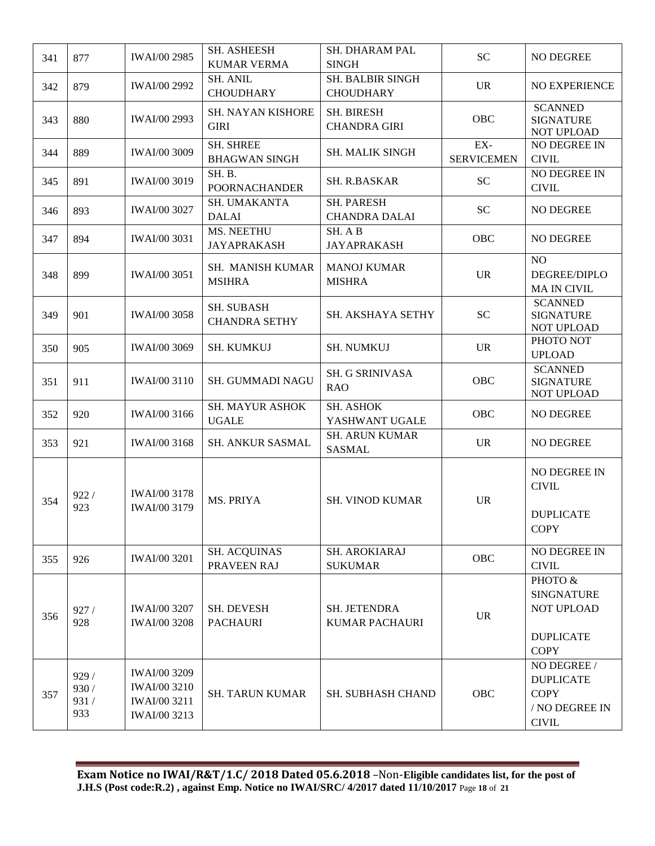| 341 | 877                           | <b>IWAI/00 2985</b>                                                 | <b>SH. ASHEESH</b><br><b>KUMAR VERMA</b>  | SH. DHARAM PAL<br><b>SINGH</b>            | <b>SC</b>                | NO DEGREE                                                                        |
|-----|-------------------------------|---------------------------------------------------------------------|-------------------------------------------|-------------------------------------------|--------------------------|----------------------------------------------------------------------------------|
| 342 | 879                           | IWAI/00 2992                                                        | <b>SH. ANIL</b><br><b>CHOUDHARY</b>       | SH. BALBIR SINGH<br><b>CHOUDHARY</b>      | <b>UR</b>                | NO EXPERIENCE                                                                    |
| 343 | 880                           | <b>IWAI/00 2993</b>                                                 | SH. NAYAN KISHORE<br><b>GIRI</b>          | <b>SH. BIRESH</b><br><b>CHANDRA GIRI</b>  | OBC                      | <b>SCANNED</b><br><b>SIGNATURE</b><br><b>NOT UPLOAD</b>                          |
| 344 | 889                           | <b>IWAI/00 3009</b>                                                 | <b>SH. SHREE</b><br><b>BHAGWAN SINGH</b>  | <b>SH. MALIK SINGH</b>                    | EX-<br><b>SERVICEMEN</b> | NO DEGREE IN<br><b>CIVIL</b>                                                     |
| 345 | 891                           | <b>IWAI/00 3019</b>                                                 | SH.B.<br><b>POORNACHANDER</b>             | <b>SH. R.BASKAR</b>                       | <b>SC</b>                | NO DEGREE IN<br><b>CIVIL</b>                                                     |
| 346 | 893                           | <b>IWAI/00 3027</b>                                                 | SH. UMAKANTA<br><b>DALAI</b>              | <b>SH. PARESH</b><br><b>CHANDRA DALAI</b> | <b>SC</b>                | <b>NO DEGREE</b>                                                                 |
| 347 | 894                           | <b>IWAI/00 3031</b>                                                 | MS. NEETHU<br><b>JAYAPRAKASH</b>          | SH. A B<br><b>JAYAPRAKASH</b>             | OBC                      | NO DEGREE                                                                        |
| 348 | 899                           | <b>IWAI/00 3051</b>                                                 | SH. MANISH KUMAR<br><b>MSIHRA</b>         | <b>MANOJ KUMAR</b><br><b>MISHRA</b>       | <b>UR</b>                | N <sub>O</sub><br>DEGREE/DIPLO<br><b>MA IN CIVIL</b>                             |
| 349 | 901                           | <b>IWAI/00 3058</b>                                                 | <b>SH. SUBASH</b><br><b>CHANDRA SETHY</b> | SH. AKSHAYA SETHY                         | <b>SC</b>                | <b>SCANNED</b><br><b>SIGNATURE</b><br><b>NOT UPLOAD</b>                          |
| 350 | 905                           | <b>IWAI/00 3069</b>                                                 | <b>SH. KUMKUJ</b>                         | <b>SH. NUMKUJ</b>                         | <b>UR</b>                | PHOTO NOT<br><b>UPLOAD</b>                                                       |
| 351 | 911                           | <b>IWAI/00 3110</b>                                                 | SH. GUMMADI NAGU                          | <b>SH. G SRINIVASA</b><br><b>RAO</b>      | OBC                      | <b>SCANNED</b><br><b>SIGNATURE</b><br>NOT UPLOAD                                 |
| 352 | 920                           | IWAI/00 3166                                                        | SH. MAYUR ASHOK<br><b>UGALE</b>           | <b>SH. ASHOK</b><br>YASHWANT UGALE        | <b>OBC</b>               | NO DEGREE                                                                        |
| 353 | 921                           | <b>IWAI/00 3168</b>                                                 | <b>SH. ANKUR SASMAL</b>                   | <b>SH. ARUN KUMAR</b><br><b>SASMAL</b>    | <b>UR</b>                | <b>NO DEGREE</b>                                                                 |
| 354 | 922/<br>923                   | <b>IWAI/00 3178</b><br><b>IWAI/00 3179</b>                          | MS. PRIYA                                 | <b>SH. VINOD KUMAR</b>                    | <b>UR</b>                | NO DEGREE IN<br><b>CIVIL</b><br><b>DUPLICATE</b><br><b>COPY</b>                  |
| 355 | 926                           | <b>IWAI/00 3201</b>                                                 | <b>SH. ACQUINAS</b><br>PRAVEEN RAJ        | <b>SH. AROKIARAJ</b><br><b>SUKUMAR</b>    | <b>OBC</b>               | NO DEGREE IN<br><b>CIVIL</b>                                                     |
| 356 | 927/<br>928                   | <b>IWAI/00 3207</b><br><b>IWAI/00 3208</b>                          | SH. DEVESH<br><b>PACHAURI</b>             | SH. JETENDRA<br><b>KUMAR PACHAURI</b>     | <b>UR</b>                | PHOTO &<br><b>SINGNATURE</b><br>NOT UPLOAD<br><b>DUPLICATE</b><br><b>COPY</b>    |
| 357 | 929/<br>930 /<br>931 /<br>933 | IWAI/00 3209<br><b>IWAI/00 3210</b><br>IWAI/00 3211<br>IWAI/00 3213 | <b>SH. TARUN KUMAR</b>                    | SH. SUBHASH CHAND                         | <b>OBC</b>               | NO DEGREE /<br><b>DUPLICATE</b><br><b>COPY</b><br>/ NO DEGREE IN<br><b>CIVIL</b> |

**Exam Notice no IWAI/R&T/1.C/ 2018 Dated 05.6.2018** –Non-**Eligible candidates list, for the post of J.H.S (Post code:R.2) , against Emp. Notice no IWAI/SRC/ 4/2017 dated 11/10/2017** Page **18** of **21**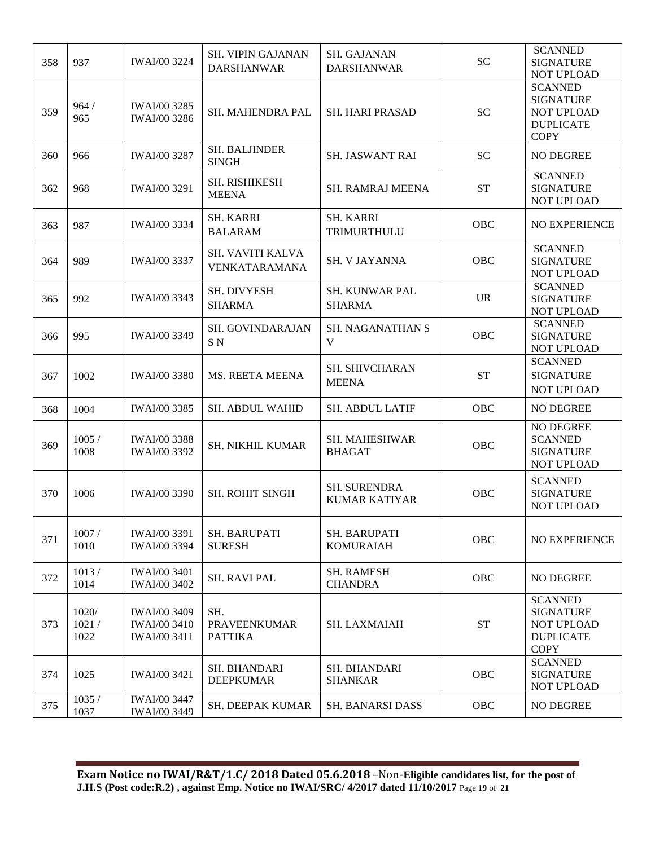| 358 | 937                    | <b>IWAI/00 3224</b>                                               | <b>SH. VIPIN GAJANAN</b><br><b>DARSHANWAR</b> | SH. GAJANAN<br><b>DARSHANWAR</b>            | <b>SC</b> | <b>SCANNED</b><br><b>SIGNATURE</b><br><b>NOT UPLOAD</b>                                    |
|-----|------------------------|-------------------------------------------------------------------|-----------------------------------------------|---------------------------------------------|-----------|--------------------------------------------------------------------------------------------|
| 359 | 964/<br>965            | IWAI/00 3285<br>IWAI/00 3286                                      | SH. MAHENDRA PAL                              | <b>SH. HARI PRASAD</b>                      | <b>SC</b> | <b>SCANNED</b><br><b>SIGNATURE</b><br><b>NOT UPLOAD</b><br><b>DUPLICATE</b><br><b>COPY</b> |
| 360 | 966                    | IWAI/00 3287                                                      | <b>SH. BALJINDER</b><br><b>SINGH</b>          | SH. JASWANT RAI                             | <b>SC</b> | NO DEGREE                                                                                  |
| 362 | 968                    | IWAI/00 3291                                                      | SH. RISHIKESH<br><b>MEENA</b>                 | <b>SH. RAMRAJ MEENA</b>                     | <b>ST</b> | <b>SCANNED</b><br><b>SIGNATURE</b><br>NOT UPLOAD                                           |
| 363 | 987                    | <b>IWAI/00 3334</b>                                               | <b>SH. KARRI</b><br><b>BALARAM</b>            | <b>SH. KARRI</b><br>TRIMURTHULU             | OBC       | <b>NO EXPERIENCE</b>                                                                       |
| 364 | 989                    | IWAI/00 3337                                                      | SH. VAVITI KALVA<br>VENKATARAMANA             | <b>SH. V JAYANNA</b>                        | OBC       | <b>SCANNED</b><br><b>SIGNATURE</b><br><b>NOT UPLOAD</b>                                    |
| 365 | 992                    | <b>IWAI/00 3343</b>                                               | <b>SH. DIVYESH</b><br><b>SHARMA</b>           | <b>SH. KUNWAR PAL</b><br><b>SHARMA</b>      | <b>UR</b> | <b>SCANNED</b><br><b>SIGNATURE</b><br>NOT UPLOAD                                           |
| 366 | 995                    | <b>IWAI/00 3349</b>                                               | SH. GOVINDARAJAN<br>SN                        | <b>SH. NAGANATHAN S</b><br>V                | OBC       | <b>SCANNED</b><br><b>SIGNATURE</b><br>NOT UPLOAD                                           |
| 367 | 1002                   | <b>IWAI/00 3380</b>                                               | <b>MS. REETA MEENA</b>                        | <b>SH. SHIVCHARAN</b><br><b>MEENA</b>       | <b>ST</b> | <b>SCANNED</b><br><b>SIGNATURE</b><br><b>NOT UPLOAD</b>                                    |
| 368 | 1004                   | IWAI/00 3385                                                      | <b>SH. ABDUL WAHID</b>                        | <b>SH. ABDUL LATIF</b>                      | OBC       | NO DEGREE                                                                                  |
| 369 | 1005/<br>1008          | <b>IWAI/00 3388</b><br>IWAI/00 3392                               | SH. NIKHIL KUMAR                              | SH. MAHESHWAR<br><b>BHAGAT</b>              | OBC       | NO DEGREE<br><b>SCANNED</b><br><b>SIGNATURE</b><br>NOT UPLOAD                              |
| 370 | 1006                   | <b>IWAI/00 3390</b>                                               | <b>SH. ROHIT SINGH</b>                        | <b>SH. SURENDRA</b><br><b>KUMAR KATIYAR</b> | OBC       | <b>SCANNED</b><br><b>SIGNATURE</b><br>NOT UPLOAD                                           |
| 371 | 1007/<br>1010          | <b>IWAI/00 3391</b><br>IWAI/00 3394                               | <b>SH. BARUPATI</b><br><b>SURESH</b>          | <b>SH. BARUPATI</b><br><b>KOMURAIAH</b>     | OBC       | NO EXPERIENCE                                                                              |
| 372 | 1013/<br>1014          | <b>IWAI/00 3401</b><br><b>IWAI/00 3402</b>                        | <b>SH. RAVI PAL</b>                           | <b>SH. RAMESH</b><br><b>CHANDRA</b>         | OBC       | <b>NO DEGREE</b>                                                                           |
| 373 | 1020/<br>1021/<br>1022 | <b>IWAI/00 3409</b><br><b>IWAI/00 3410</b><br><b>IWAI/00 3411</b> | SH.<br><b>PRAVEENKUMAR</b><br><b>PATTIKA</b>  | <b>SH. LAXMAIAH</b>                         | <b>ST</b> | <b>SCANNED</b><br><b>SIGNATURE</b><br><b>NOT UPLOAD</b><br><b>DUPLICATE</b><br><b>COPY</b> |
| 374 | 1025                   | <b>IWAI/00 3421</b>                                               | SH. BHANDARI<br><b>DEEPKUMAR</b>              | SH. BHANDARI<br><b>SHANKAR</b>              | OBC       | <b>SCANNED</b><br><b>SIGNATURE</b><br>NOT UPLOAD                                           |
| 375 | 1035/<br>1037          | <b>IWAI/00 3447</b><br><b>IWAI/00 3449</b>                        | SH. DEEPAK KUMAR                              | <b>SH. BANARSI DASS</b>                     | OBC       | NO DEGREE                                                                                  |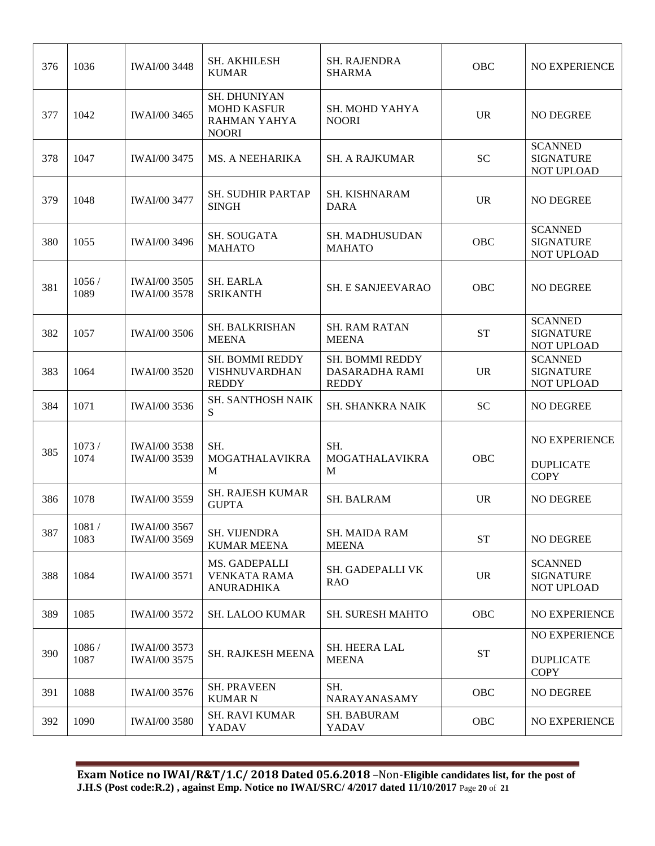| 376 | 1036          | <b>IWAI/00 3448</b>                        | <b>SH. AKHILESH</b><br><b>KUMAR</b>                                | <b>SH. RAJENDRA</b><br><b>SHARMA</b>              | OBC       | <b>NO EXPERIENCE</b>                                    |
|-----|---------------|--------------------------------------------|--------------------------------------------------------------------|---------------------------------------------------|-----------|---------------------------------------------------------|
| 377 | 1042          | <b>IWAI/00 3465</b>                        | SH. DHUNIYAN<br><b>MOHD KASFUR</b><br>RAHMAN YAHYA<br><b>NOORI</b> | <b>SH. MOHD YAHYA</b><br><b>NOORI</b>             | <b>UR</b> | <b>NO DEGREE</b>                                        |
| 378 | 1047          | <b>IWAI/00 3475</b>                        | <b>MS. A NEEHARIKA</b>                                             | <b>SH. A RAJKUMAR</b>                             | <b>SC</b> | <b>SCANNED</b><br><b>SIGNATURE</b><br><b>NOT UPLOAD</b> |
| 379 | 1048          | <b>IWAI/00 3477</b>                        | <b>SH. SUDHIR PARTAP</b><br><b>SINGH</b>                           | SH. KISHNARAM<br><b>DARA</b>                      | <b>UR</b> | <b>NO DEGREE</b>                                        |
| 380 | 1055          | <b>IWAI/00 3496</b>                        | SH. SOUGATA<br><b>MAHATO</b>                                       | <b>SH. MADHUSUDAN</b><br><b>MAHATO</b>            | OBC       | <b>SCANNED</b><br><b>SIGNATURE</b><br>NOT UPLOAD        |
| 381 | 1056/<br>1089 | <b>IWAI/00 3505</b><br><b>IWAI/00 3578</b> | <b>SH. EARLA</b><br><b>SRIKANTH</b>                                | <b>SH. E SANJEEVARAO</b>                          | OBC       | <b>NO DEGREE</b>                                        |
| 382 | 1057          | <b>IWAI/00 3506</b>                        | SH. BALKRISHAN<br><b>MEENA</b>                                     | <b>SH. RAM RATAN</b><br><b>MEENA</b>              | <b>ST</b> | <b>SCANNED</b><br><b>SIGNATURE</b><br>NOT UPLOAD        |
| 383 | 1064          | <b>IWAI/00 3520</b>                        | SH. BOMMI REDDY<br><b>VISHNUVARDHAN</b><br><b>REDDY</b>            | SH. BOMMI REDDY<br>DASARADHA RAMI<br><b>REDDY</b> | <b>UR</b> | <b>SCANNED</b><br><b>SIGNATURE</b><br>NOT UPLOAD        |
| 384 | 1071          | <b>IWAI/00 3536</b>                        | SH. SANTHOSH NAIK<br>S                                             | <b>SH. SHANKRA NAIK</b>                           | <b>SC</b> | NO DEGREE                                               |
| 385 | 1073/<br>1074 | <b>IWAI/00 3538</b><br><b>IWAI/00 3539</b> | SH.<br><b>MOGATHALAVIKRA</b><br>M                                  | SH.<br><b>MOGATHALAVIKRA</b><br>M                 | OBC       | <b>NO EXPERIENCE</b><br><b>DUPLICATE</b><br><b>COPY</b> |
| 386 | 1078          | <b>IWAI/00 3559</b>                        | <b>SH. RAJESH KUMAR</b><br><b>GUPTA</b>                            | <b>SH. BALRAM</b>                                 | <b>UR</b> | <b>NO DEGREE</b>                                        |
| 387 | 1081/<br>1083 | <b>IWAI/00 3567</b><br>IWAI/00 3569        | <b>SH. VIJENDRA</b><br><b>KUMAR MEENA</b>                          | <b>SH. MAIDA RAM</b><br><b>MEENA</b>              | <b>ST</b> | <b>NO DEGREE</b>                                        |
| 388 | 1084          | <b>IWAI/00 3571</b>                        | MS. GADEPALLI<br><b>VENKATA RAMA</b><br><b>ANURADHIKA</b>          | SH. GADEPALLI VK<br><b>RAO</b>                    | <b>UR</b> | <b>SCANNED</b><br><b>SIGNATURE</b><br><b>NOT UPLOAD</b> |
| 389 | 1085          | <b>IWAI/00 3572</b>                        | <b>SH. LALOO KUMAR</b>                                             | <b>SH. SURESH MAHTO</b>                           | OBC       | NO EXPERIENCE                                           |
| 390 | 1086/<br>1087 | <b>IWAI/00 3573</b><br>IWAI/00 3575        | <b>SH. RAJKESH MEENA</b>                                           | SH. HEERA LAL<br><b>MEENA</b>                     | <b>ST</b> | NO EXPERIENCE<br><b>DUPLICATE</b><br><b>COPY</b>        |
| 391 | 1088          | IWAI/00 3576                               | <b>SH. PRAVEEN</b><br><b>KUMAR N</b>                               | SH.<br>NARAYANASAMY                               | OBC       | NO DEGREE                                               |
| 392 | 1090          | <b>IWAI/00 3580</b>                        | <b>SH. RAVI KUMAR</b><br>YADAV                                     | SH. BABURAM<br>YADAV                              | OBC       | NO EXPERIENCE                                           |